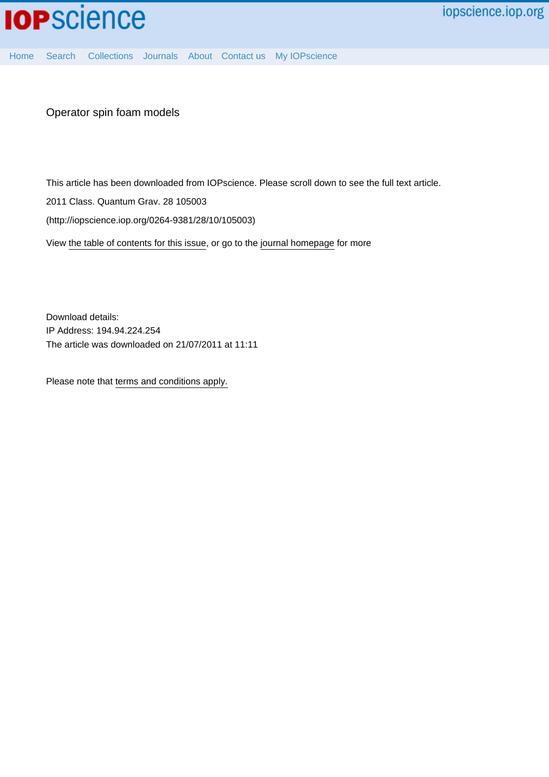

[Home](http://iopscience.iop.org/) [Search](http://iopscience.iop.org/search) [Collections](http://iopscience.iop.org/collections) [Journals](http://iopscience.iop.org/journals) [About](http://iopscience.iop.org/page/aboutioppublishing) [Contact us](http://iopscience.iop.org/contact) [My IOPscience](http://iopscience.iop.org/myiopscience)

Operator spin foam models

This article has been downloaded from IOPscience. Please scroll down to see the full text article.

2011 Class. Quantum Grav. 28 105003

(http://iopscience.iop.org/0264-9381/28/10/105003)

View [the table of contents for this issue](http://iopscience.iop.org/0264-9381/28/10), or go to the [journal homepage](http://iopscience.iop.org/0264-9381) for more

Download details: IP Address: 194.94.224.254 The article was downloaded on 21/07/2011 at 11:11

Please note that [terms and conditions apply.](http://iopscience.iop.org/page/terms)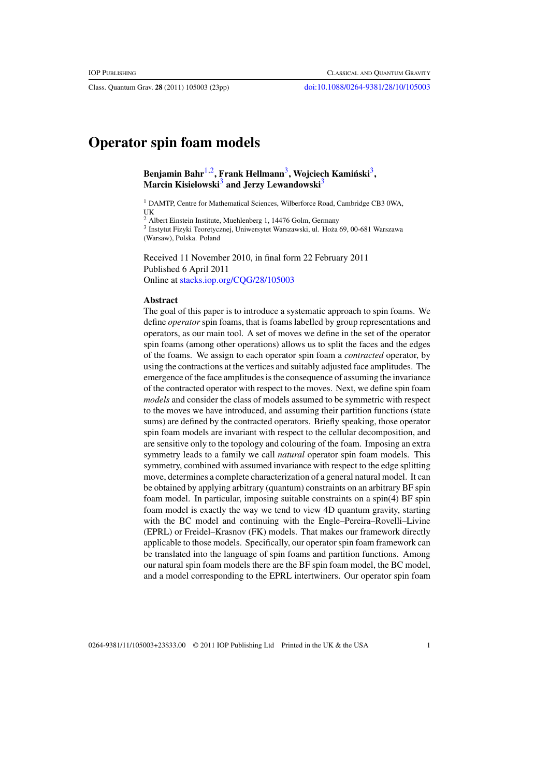Class. Quantum Grav. **28** (2011) 105003 (23pp) [doi:10.1088/0264-9381/28/10/105003](http://dx.doi.org/10.1088/0264-9381/28/10/105003)

# **Operator spin foam models**

**Benjamin Bahr**1,2**, Frank Hellmann**3**, Wojciech Kaminski ´** <sup>3</sup>**, Marcin Kisielowski**<sup>3</sup> and Jerzy Lewandowski<sup>3</sup>

<sup>1</sup> DAMTP, Centre for Mathematical Sciences, Wilberforce Road, Cambridge CB3 0WA, UK

<sup>2</sup> Albert Einstein Institute, Muehlenberg 1, 14476 Golm, Germany

<sup>3</sup> Instytut Fizyki Teoretycznej, Uniwersytet Warszawski, ul. Hoza 69, 00-681 Warszawa ˙ (Warsaw), Polska. Poland

Received 11 November 2010, in final form 22 February 2011 Published 6 April 2011 Online at [stacks.iop.org/CQG/28/105003](http://stacks.iop.org/CQG/28/105003)

## **Abstract**

The goal of this paper is to introduce a systematic approach to spin foams. We define *operator* spin foams, that is foams labelled by group representations and operators, as our main tool. A set of moves we define in the set of the operator spin foams (among other operations) allows us to split the faces and the edges of the foams. We assign to each operator spin foam a *contracted* operator, by using the contractions at the vertices and suitably adjusted face amplitudes. The emergence of the face amplitudes is the consequence of assuming the invariance of the contracted operator with respect to the moves. Next, we define spin foam *models* and consider the class of models assumed to be symmetric with respect to the moves we have introduced, and assuming their partition functions (state sums) are defined by the contracted operators. Briefly speaking, those operator spin foam models are invariant with respect to the cellular decomposition, and are sensitive only to the topology and colouring of the foam. Imposing an extra symmetry leads to a family we call *natural* operator spin foam models. This symmetry, combined with assumed invariance with respect to the edge splitting move, determines a complete characterization of a general natural model. It can be obtained by applying arbitrary (quantum) constraints on an arbitrary BF spin foam model. In particular, imposing suitable constraints on a spin(4) BF spin foam model is exactly the way we tend to view 4D quantum gravity, starting with the BC model and continuing with the Engle–Pereira–Rovelli–Livine (EPRL) or Freidel–Krasnov (FK) models. That makes our framework directly applicable to those models. Specifically, our operator spin foam framework can be translated into the language of spin foams and partition functions. Among our natural spin foam models there are the BF spin foam model, the BC model, and a model corresponding to the EPRL intertwiners. Our operator spin foam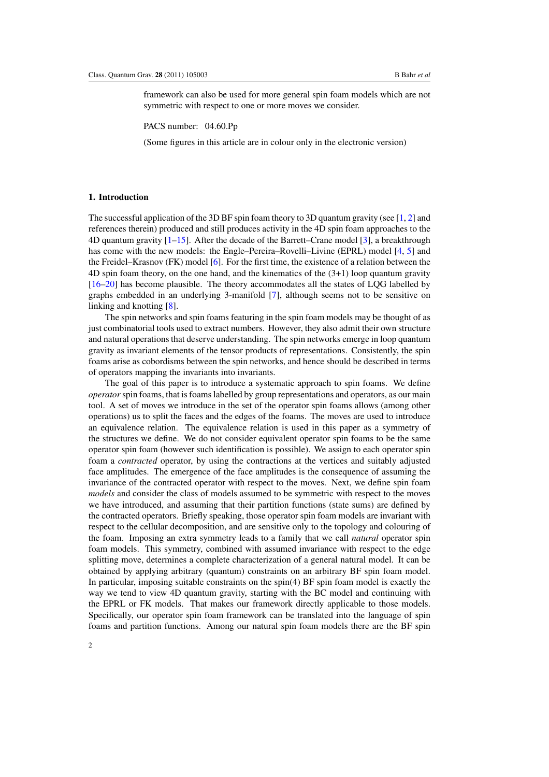framework can also be used for more general spin foam models which are not symmetric with respect to one or more moves we consider.

PACS number: 04.60.Pp

(Some figures in this article are in colour only in the electronic version)

# **1. Introduction**

The successful application of the 3D BF spin foam theory to 3D quantum gravity (see [\[1,](#page-21-0) [2](#page-21-0)] and references therein) produced and still produces activity in the 4D spin foam approaches to the 4D quantum gravity [\[1](#page-21-0)[–15](#page-22-0)]. After the decade of the Barrett–Crane model [\[3](#page-21-0)], a breakthrough has come with the new models: the Engle–Pereira–Rovelli–Livine (EPRL) model [\[4,](#page-21-0) [5](#page-21-0)] and the Freidel–Krasnov (FK) model [\[6](#page-21-0)]. For the first time, the existence of a relation between the 4D spin foam theory, on the one hand, and the kinematics of the (3+1) loop quantum gravity [\[16–20](#page-22-0)] has become plausible. The theory accommodates all the states of LQG labelled by graphs embedded in an underlying 3-manifold [\[7\]](#page-21-0), although seems not to be sensitive on linking and knotting [\[8\]](#page-21-0).

The spin networks and spin foams featuring in the spin foam models may be thought of as just combinatorial tools used to extract numbers. However, they also admit their own structure and natural operations that deserve understanding. The spin networks emerge in loop quantum gravity as invariant elements of the tensor products of representations. Consistently, the spin foams arise as cobordisms between the spin networks, and hence should be described in terms of operators mapping the invariants into invariants.

The goal of this paper is to introduce a systematic approach to spin foams. We define *operator*spin foams, that is foams labelled by group representations and operators, as our main tool. A set of moves we introduce in the set of the operator spin foams allows (among other operations) us to split the faces and the edges of the foams. The moves are used to introduce an equivalence relation. The equivalence relation is used in this paper as a symmetry of the structures we define. We do not consider equivalent operator spin foams to be the same operator spin foam (however such identification is possible). We assign to each operator spin foam a *contracted* operator, by using the contractions at the vertices and suitably adjusted face amplitudes. The emergence of the face amplitudes is the consequence of assuming the invariance of the contracted operator with respect to the moves. Next, we define spin foam *models* and consider the class of models assumed to be symmetric with respect to the moves we have introduced, and assuming that their partition functions (state sums) are defined by the contracted operators. Briefly speaking, those operator spin foam models are invariant with respect to the cellular decomposition, and are sensitive only to the topology and colouring of the foam. Imposing an extra symmetry leads to a family that we call *natural* operator spin foam models. This symmetry, combined with assumed invariance with respect to the edge splitting move, determines a complete characterization of a general natural model. It can be obtained by applying arbitrary (quantum) constraints on an arbitrary BF spin foam model. In particular, imposing suitable constraints on the spin(4) BF spin foam model is exactly the way we tend to view 4D quantum gravity, starting with the BC model and continuing with the EPRL or FK models. That makes our framework directly applicable to those models. Specifically, our operator spin foam framework can be translated into the language of spin foams and partition functions. Among our natural spin foam models there are the BF spin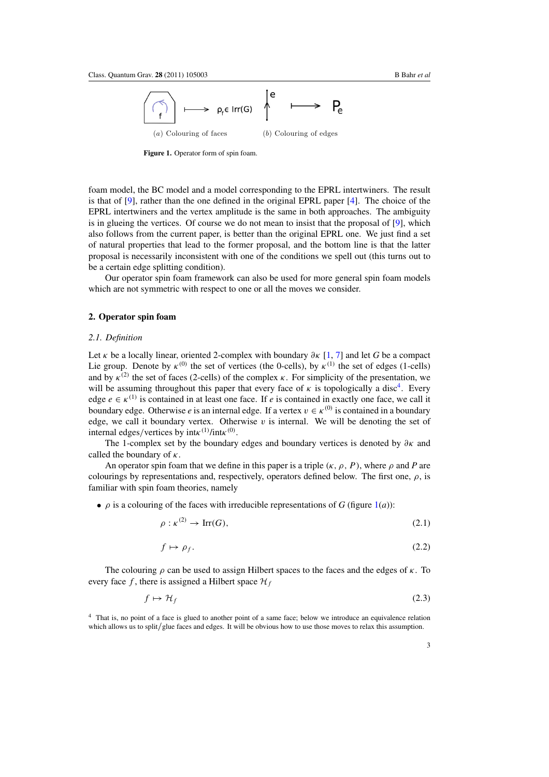<span id="page-3-0"></span>

**Figure 1.** Operator form of spin foam.

foam model, the BC model and a model corresponding to the EPRL intertwiners. The result is that of [\[9](#page-22-0)], rather than the one defined in the original EPRL paper [\[4](#page-21-0)]. The choice of the EPRL intertwiners and the vertex amplitude is the same in both approaches. The ambiguity is in glueing the vertices. Of course we do not mean to insist that the proposal of  $[9]$ , which also follows from the current paper, is better than the original EPRL one. We just find a set of natural properties that lead to the former proposal, and the bottom line is that the latter proposal is necessarily inconsistent with one of the conditions we spell out (this turns out to be a certain edge splitting condition).

Our operator spin foam framework can also be used for more general spin foam models which are not symmetric with respect to one or all the moves we consider.

## **2. Operator spin foam**

## *2.1. Definition*

Let *κ* be a locally linear, oriented 2-complex with boundary *∂κ* [\[1,](#page-21-0) [7\]](#page-21-0) and let *G* be a compact Lie group. Denote by  $\kappa^{(0)}$  the set of vertices (the 0-cells), by  $\kappa^{(1)}$  the set of edges (1-cells) and by  $\kappa^{(2)}$  the set of faces (2-cells) of the complex  $\kappa$ . For simplicity of the presentation, we will be assuming throughout this paper that every face of  $\kappa$  is topologically a disc<sup>4</sup>. Every edge  $e \in \kappa^{(1)}$  is contained in at least one face. If *e* is contained in exactly one face, we call it boundary edge. Otherwise *e* is an internal edge. If a vertex  $v \in \kappa^{(0)}$  is contained in a boundary edge, we call it boundary vertex. Otherwise  $v$  is internal. We will be denoting the set of internal edges*/*vertices by int*κ(*1*)* /int*κ(*0*)* .

The 1-complex set by the boundary edges and boundary vertices is denoted by *∂κ* and called the boundary of *κ*.

An operator spin foam that we define in this paper is a triple  $(\kappa, \rho, P)$ , where  $\rho$  and P are colourings by representations and, respectively, operators defined below. The first one, *ρ*, is familiar with spin foam theories, namely

•  $\rho$  is a colouring of the faces with irreducible representations of *G* (figure 1(*a*)):

$$
\rho: \kappa^{(2)} \to \operatorname{Irr}(G),\tag{2.1}
$$

$$
f \mapsto \rho_f. \tag{2.2}
$$

The colouring *ρ* can be used to assign Hilbert spaces to the faces and the edges of *κ*. To every face f, there is assigned a Hilbert space  $\mathcal{H}_f$ 

$$
f \mapsto \mathcal{H}_f \tag{2.3}
$$

<sup>4</sup> That is, no point of a face is glued to another point of a same face; below we introduce an equivalence relation which allows us to split/glue faces and edges. It will be obvious how to use those moves to relax this assumption.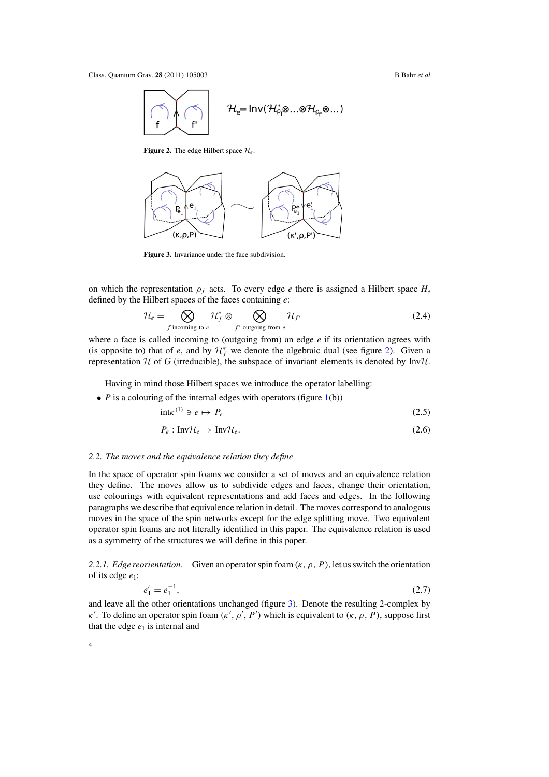<span id="page-4-0"></span>

**Figure 2.** The edge Hilbert space  $\mathcal{H}_e$ .



**Figure 3.** Invariance under the face subdivision.

on which the representation *ρf* acts. To every edge *e* there is assigned a Hilbert space *He* defined by the Hilbert spaces of the faces containing *e*:

$$
\mathcal{H}_e = \bigotimes_{f \text{ incoming to } e} \mathcal{H}_f^* \otimes \bigotimes_{f' \text{ outgoing from } e} \mathcal{H}_{f'}
$$
\n(2.4)

where a face is called incoming to (outgoing from) an edge *e* if its orientation agrees with (is opposite to) that of *e*, and by  $\mathcal{H}_f^*$  we denote the algebraic dual (see figure 2). Given a representation  $H$  of *G* (irreducible), the subspace of invariant elements is denoted by Inv $H$ .

Having in mind those Hilbert spaces we introduce the operator labelling:

 $\bullet$  *P* is a colouring of the internal edges with operators (figure [1\(](#page-3-0)b))

$$
intkappa^{(1)} \ni e \mapsto P_e \tag{2.5}
$$

$$
P_e: \text{InvH}_e \to \text{InvH}_e. \tag{2.6}
$$

#### *2.2. The moves and the equivalence relation they define*

In the space of operator spin foams we consider a set of moves and an equivalence relation they define. The moves allow us to subdivide edges and faces, change their orientation, use colourings with equivalent representations and add faces and edges. In the following paragraphs we describe that equivalence relation in detail. The moves correspond to analogous moves in the space of the spin networks except for the edge splitting move. Two equivalent operator spin foams are not literally identified in this paper. The equivalence relation is used as a symmetry of the structures we will define in this paper.

2.2.1. *Edge reorientation.* Given an operator spin foam  $(\kappa, \rho, P)$ , let us switch the orientation of its edge *e*1:

$$
e_1' = e_1^{-1},\tag{2.7}
$$

and leave all the other orientations unchanged (figure 3). Denote the resulting 2-complex by *κ'*. To define an operator spin foam  $(κ', ρ', P')$  which is equivalent to  $(κ, ρ, P)$ , suppose first that the edge  $e_1$  is internal and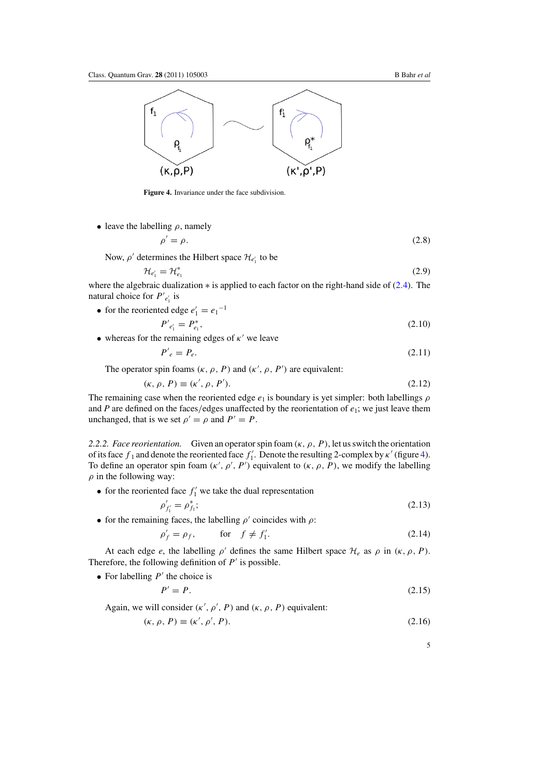

**Figure 4.** Invariance under the face subdivision.

• leave the labelling  $\rho$ , namely

$$
\rho' = \rho. \tag{2.8}
$$

Now,  $\rho'$  determines the Hilbert space  $\mathcal{H}_{e'_1}$  to be

$$
\mathcal{H}_{e_1'} = \mathcal{H}_{e_1}^* \tag{2.9}
$$

where the algebraic dualization ∗ is applied to each factor on the right-hand side of (2*.*[4\)](#page-4-0). The natural choice for  $P'_{e'_1}$  is

• for the reoriented edge  $e'_1 = e_1^{-1}$ 

$$
P'_{e'_1} = P_{e_1}^*,\tag{2.10}
$$

• whereas for the remaining edges of  $\kappa'$  we leave

$$
P'_{e} = P_{e}.\tag{2.11}
$$

The operator spin foams  $(\kappa, \rho, P)$  and  $(\kappa', \rho, P')$  are equivalent:

$$
(\kappa, \rho, P) \equiv (\kappa', \rho, P'). \tag{2.12}
$$

The remaining case when the reoriented edge  $e_1$  is boundary is yet simpler: both labellings  $\rho$ and *P* are defined on the faces*/*edges unaffected by the reorientation of *e*1; we just leave them unchanged, that is we set  $\rho' = \rho$  and  $P' = P$ .

*2.2.2. Face reorientation.* Given an operator spin foam  $(\kappa, \rho, P)$ , let us switch the orientation of its face  $f_1$  and denote the reoriented face  $f'_1$ . Denote the resulting 2-complex by  $\kappa'$  (figure 4). To define an operator spin foam  $(\kappa', \rho', P')$  equivalent to  $(\kappa, \rho, P)$ , we modify the labelling *ρ* in the following way:

• for the reoriented face  $f_1'$  we take the dual representation

$$
\rho'_{f'_1} = \rho^*_{f_1};\tag{2.13}
$$

• for the remaining faces, the labelling  $\rho'$  coincides with  $\rho$ :

$$
\rho'_f = \rho_f, \qquad \text{for} \quad f \neq f'_1. \tag{2.14}
$$

At each edge *e*, the labelling  $\rho'$  defines the same Hilbert space  $\mathcal{H}_e$  as  $\rho$  in  $(\kappa, \rho, P)$ . Therefore, the following definition of  $P'$  is possible.

• For labelling  $P'$  the choice is

$$
P' = P. \tag{2.15}
$$

Again, we will consider  $(\kappa', \rho', P)$  and  $(\kappa, \rho, P)$  equivalent:

$$
(\kappa, \rho, P) \equiv (\kappa', \rho', P). \tag{2.16}
$$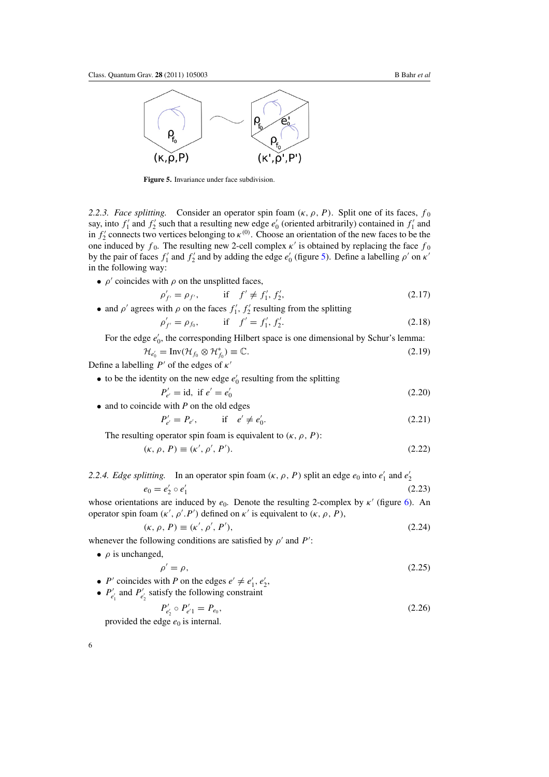<span id="page-6-0"></span>

**Figure 5.** Invariance under face subdivision.

*2.2.3. Face splitting.* Consider an operator spin foam  $(\kappa, \rho, P)$ . Split one of its faces,  $f_0$ say, into  $f'_1$  and  $f'_2$  such that a resulting new edge  $e'_0$  (oriented arbitrarily) contained in  $f'_1$  and in  $f'_2$  connects two vertices belonging to  $\kappa^{(0)}$ . Choose an orientation of the new faces to be the one induced by  $f_0$ . The resulting new 2-cell complex  $\kappa'$  is obtained by replacing the face  $f_0$ by the pair of faces  $f'_1$  and  $f'_2$  and by adding the edge  $e'_0$  (figure 5). Define a labelling  $\rho'$  on  $\kappa'$ in the following way:

•  $\rho'$  coincides with  $\rho$  on the unsplitted faces,

$$
\rho'_{f'} = \rho_{f'}, \quad \text{if} \quad f' \neq f'_1, f'_2,\n\tag{2.17}
$$

• and  $\rho'$  agrees with  $\rho$  on the faces  $f'_1, f'_2$  resulting from the splitting

$$
\rho'_{f'} = \rho_{f_0}, \qquad \text{if} \quad f' = f'_1, f'_2. \tag{2.18}
$$

For the edge  $e'_0$ , the corresponding Hilbert space is one dimensional by Schur's lemma:

$$
\mathcal{H}_{e'_0} = \text{Inv}(\mathcal{H}_{f_0} \otimes \mathcal{H}_{f_0}^*) \equiv \mathbb{C}.
$$
\n(2.19)

Define a labelling  $P'$  of the edges of  $\kappa'$ 

• to be the identity on the new edge 
$$
e'_0
$$
 resulting from the splitting

$$
P'_{e'} = \text{id}, \text{ if } e' = e'_0 \tag{2.20}
$$
  
• and to coincide with *P* on the old edges

$$
P'_{e'} = P_{e'}, \qquad \text{if} \quad e' \neq e'_0.
$$

The resulting operator spin foam is equivalent to  $(\kappa, \rho, P)$ :

$$
(\kappa, \rho, P) \equiv (\kappa', \rho', P'). \tag{2.22}
$$

# 2.2.4. *Edge splitting.* In an operator spin foam  $(\kappa, \rho, P)$  split an edge  $e_0$  into  $e'_1$  and  $e'_2$

$$
e_0 = e'_2 \circ e'_1 \tag{2.23}
$$

whose orientations are induced by *e*<sub>0</sub>. Denote the resulting 2-complex by *κ'* (figure [6\)](#page-7-0). An operator spin foam  $(κ', ρ', P')$  defined on  $κ'$  is equivalent to  $(κ, ρ, P)$ ,

$$
(\kappa, \rho, P) \equiv (\kappa', \rho', P'), \tag{2.24}
$$

whenever the following conditions are satisfied by  $\rho'$  and  $P'$ :

• *ρ* is unchanged,

$$
\rho' = \rho,\tag{2.25}
$$

• *P'* coincides with *P* on the edges  $e' \neq e'_1, e'_2$ , •  $P'_{e'_1}$  and  $P'_{e'_2}$  satisfy the following constraint

$$
P'_{e'_2} \circ P'_{e'_1} = P_{e_0},\tag{2.26}
$$

provided the edge  $e_0$  is internal.

 $(2.21)$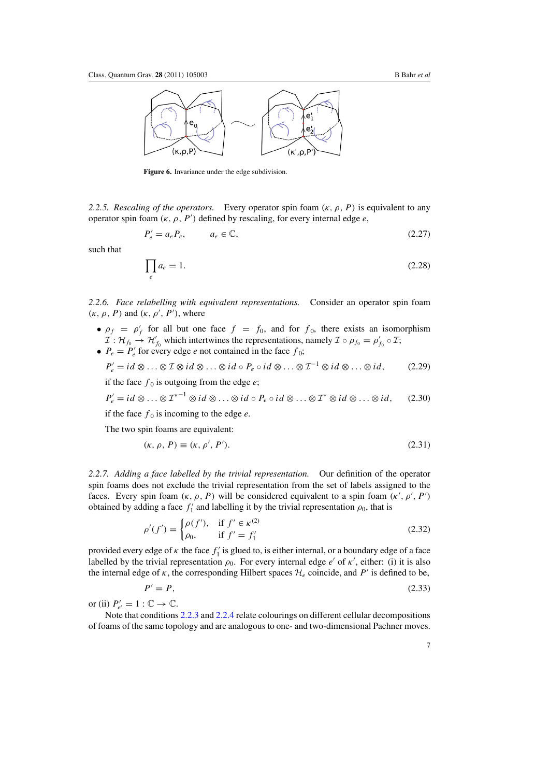<span id="page-7-0"></span>

**Figure 6.** Invariance under the edge subdivision.

2.2.5. Rescaling of the operators. Every operator spin foam  $(\kappa, \rho, P)$  is equivalent to any operator spin foam *(κ, ρ , P )* defined by rescaling, for every internal edge *e*,

$$
P'_e = a_e P_e, \qquad a_e \in \mathbb{C}, \tag{2.27}
$$

such that

$$
\prod_{e} a_e = 1. \tag{2.28}
$$

*2.2.6. Face relabelling with equivalent representations.* Consider an operator spin foam *(κ, ρ, P)* and  $(κ, ρ', P')$ , where

- $\rho_f = \rho'_f$  for all but one face  $f = f_0$ , and for  $f_0$ , there exists an isomorphism  $\mathcal{I}: \mathcal{H}_{f_0} \to \mathcal{H}'_{f_0}$  which intertwines the representations, namely  $\mathcal{I} \circ \rho_{f_0} = \rho'_{f_0} \circ \mathcal{I};$
- $P_e = P'_e$  for every edge *e* not contained in the face  $f_0$ ;  $P'_e = id \otimes \ldots \otimes \mathcal{I} \otimes id \otimes \ldots \otimes id \circ P_e \circ id \otimes \ldots \otimes \mathcal{I}^{-1} \otimes id \otimes \ldots \otimes id,$  (2*.29*)

if the face  $f_0$  is outgoing from the edge  $e$ ;

$$
P'_e = id \otimes \ldots \otimes T^{*-1} \otimes id \otimes \ldots \otimes id \circ P_e \circ id \otimes \ldots \otimes T^* \otimes id \otimes \ldots \otimes id, \qquad (2.30)
$$

if the face  $f_0$  is incoming to the edge *e*.

The two spin foams are equivalent:

$$
(\kappa, \rho, P) \equiv (\kappa, \rho', P'). \tag{2.31}
$$

*2.2.7. Adding a face labelled by the trivial representation.* Our definition of the operator spin foams does not exclude the trivial representation from the set of labels assigned to the faces. Every spin foam  $(\kappa, \rho, P)$  will be considered equivalent to a spin foam  $(\kappa', \rho', P')$ obtained by adding a face  $f'_1$  and labelling it by the trivial representation  $\rho_0$ , that is

$$
\rho'(f') = \begin{cases} \rho(f'), & \text{if } f' \in \kappa^{(2)} \\ \rho_0, & \text{if } f' = f'_1 \end{cases}
$$
\n(2.32)

provided every edge of  $\kappa$  the face  $f_1'$  is glued to, is either internal, or a boundary edge of a face labelled by the trivial representation  $\rho_0$ . For every internal edge *e'* of  $\kappa'$ , either: (i) it is also the internal edge of  $\kappa$ , the corresponding Hilbert spaces  $\mathcal{H}_e$  coincide, and  $P'$  is defined to be,

$$
P' = P,\tag{2.33}
$$

or (ii)  $P'_{e'} = 1 : \mathbb{C} \to \mathbb{C}$ .

Note that conditions [2.2.3](#page-6-0) and [2.2.4](#page-6-0) relate colourings on different cellular decompositions of foams of the same topology and are analogous to one- and two-dimensional Pachner moves.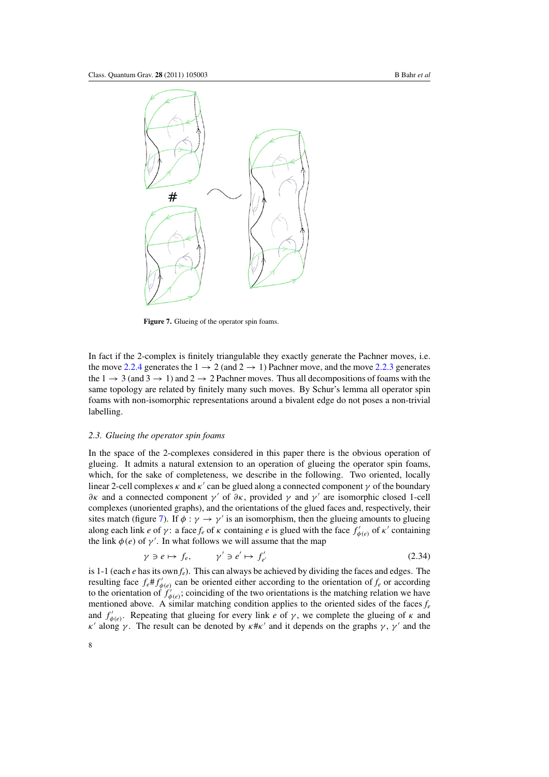

Figure 7. Glueing of the operator spin foams.

In fact if the 2-complex is finitely triangulable they exactly generate the Pachner moves, i.e. the move [2.2.4](#page-6-0) generates the  $1 \rightarrow 2$  (and  $2 \rightarrow 1$ ) Pachner move, and the move [2.2.3](#page-6-0) generates the  $1 \rightarrow 3$  (and  $3 \rightarrow 1$ ) and  $2 \rightarrow 2$  Pachner moves. Thus all decompositions of foams with the same topology are related by finitely many such moves. By Schur's lemma all operator spin foams with non-isomorphic representations around a bivalent edge do not poses a non-trivial labelling.

#### *2.3. Glueing the operator spin foams*

In the space of the 2-complexes considered in this paper there is the obvious operation of glueing. It admits a natural extension to an operation of glueing the operator spin foams, which, for the sake of completeness, we describe in the following. Two oriented, locally linear 2-cell complexes  $\kappa$  and  $\kappa'$  can be glued along a connected component  $\gamma$  of the boundary *∂κ* and a connected component *γ* of *∂κ*, provided *γ* and *γ* are isomorphic closed 1-cell complexes (unoriented graphs), and the orientations of the glued faces and, respectively, their sites match (figure 7). If  $\phi$  :  $\gamma \rightarrow \gamma'$  is an isomorphism, then the glueing amounts to glueing along each link *e* of *γ*: a face  $f_e$  of  $\kappa$  containing *e* is glued with the face  $f'_{\phi(e)}$  of  $\kappa'$  containing the link  $\phi(e)$  of  $\gamma'$ . In what follows we will assume that the map

$$
\gamma \ni e \mapsto f_e, \qquad \gamma' \ni e' \mapsto f'_{e'} \tag{2.34}
$$

is 1-1 (each *e* has its own *fe*). This can always be achieved by dividing the faces and edges. The resulting face  $f_e \# f'_{\phi(e)}$  can be oriented either according to the orientation of  $f_e$  or according to the orientation of  $f'_{\phi(e)}$ ; coinciding of the two orientations is the matching relation we have mentioned above. A similar matching condition applies to the oriented sides of the faces  $f_e$ and  $f'_{\phi(e)}$ . Repeating that glueing for every link *e* of *γ*, we complete the glueing of *κ* and *κ'* along *γ*. The result can be denoted by  $κ#κ'$  and it depends on the graphs *γ*, *γ'* and the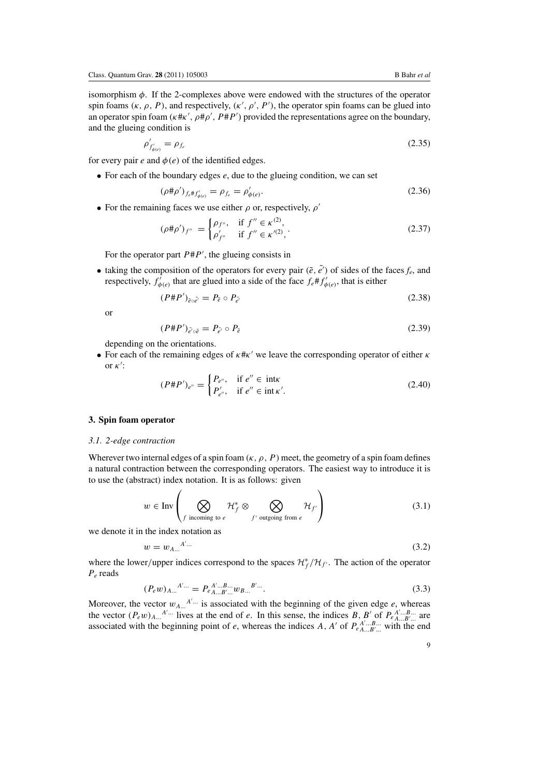<span id="page-9-0"></span>isomorphism *φ*. If the 2-complexes above were endowed with the structures of the operator spin foams  $(\kappa, \rho, P)$ , and respectively,  $(\kappa', \rho', P')$ , the operator spin foams can be glued into an operator spin foam (κ#κ', ρ#ρ', P#P') provided the representations agree on the boundary, and the glueing condition is

$$
\rho'_{f'_{\phi(e)}} = \rho_{f_e} \tag{2.35}
$$

for every pair  $e$  and  $\phi(e)$  of the identified edges.

• For each of the boundary edges *e*, due to the glueing condition, we can set

$$
(\rho \# \rho')_{f_e \# f'_{\phi(e)}} = \rho_{f_e} = \rho'_{\phi(e)}.
$$
\n(2.36)

• For the remaining faces we use either *ρ* or, respectively, *ρ*

$$
(\rho \# \rho')_{f''} = \begin{cases} \rho_{f''}, & \text{if } f'' \in \kappa^{(2)}, \\ \rho'_{f''} & \text{if } f'' \in \kappa'^{(2)}, \end{cases}
$$
 (2.37)

For the operator part  $P \# P'$ , the glueing consists in

• taking the composition of the operators for every pair  $(\tilde{e}, \tilde{e}')$  of sides of the faces  $f_e$ , and respectively,  $f'_{\phi(e)}$  that are glued into a side of the face  $f_e \# f'_{\phi(e)}$ , that is either

$$
(P \# P')_{\tilde{e} \circ \tilde{e'}} = P_{\tilde{e}} \circ P_{\tilde{e'}}
$$
\n
$$
(2.38)
$$

or

$$
(P \# P')_{\tilde{e}' \circ \tilde{e}} = P_{\tilde{e}'} \circ P_{\tilde{e}} \tag{2.39}
$$

depending on the orientations.

• For each of the remaining edges of *κ*#*κ* we leave the corresponding operator of either *κ* or *κ* :

$$
(P \# P')_{e''} = \begin{cases} P_{e''}, & \text{if } e'' \in \text{intk} \\ P'_{e''}, & \text{if } e'' \in \text{intk'}. \end{cases}
$$
 (2.40)

# **3. Spin foam operator**

#### *3.1. 2-edge contraction*

Wherever two internal edges of a spin foam  $(\kappa, \rho, P)$  meet, the geometry of a spin foam defines a natural contraction between the corresponding operators. The easiest way to introduce it is to use the (abstract) index notation. It is as follows: given

$$
w \in \text{Inv}\left(\bigotimes_{f \text{ incoming to } e} \mathcal{H}_f^* \otimes \bigotimes_{f' \text{ outgoing from } e} \mathcal{H}_{f'}\right) \tag{3.1}
$$

we denote it in the index notation as

$$
w = w_{A...}^{A'...} \tag{3.2}
$$

where the lower/upper indices correspond to the spaces  $\mathcal{H}_f^*/\mathcal{H}_{f'}$ . The action of the operator *Pe* reads

$$
(P_e w)_{A...}^{A'...} = P_{eA...B'...}^{A'...B...} w_{B...}^{B'...}.
$$
\n(3.3)

Moreover, the vector  $w_{A}$ <sup> $A'...$ </sup> is associated with the beginning of the given edge *e*, whereas the vector  $(P_e w)_{A}$ <sup>*...* A'...</sup> lives at the end of *e*. In this sense, the indices *B*, *B'* of  $P_{eA}^{A'}...B}...$  are associated with the beginning point of *e*, whereas the indices *A*, *A'* of  $P_{e_{A\dots B\dots b}}^{A'\dots B\dots}$  with the end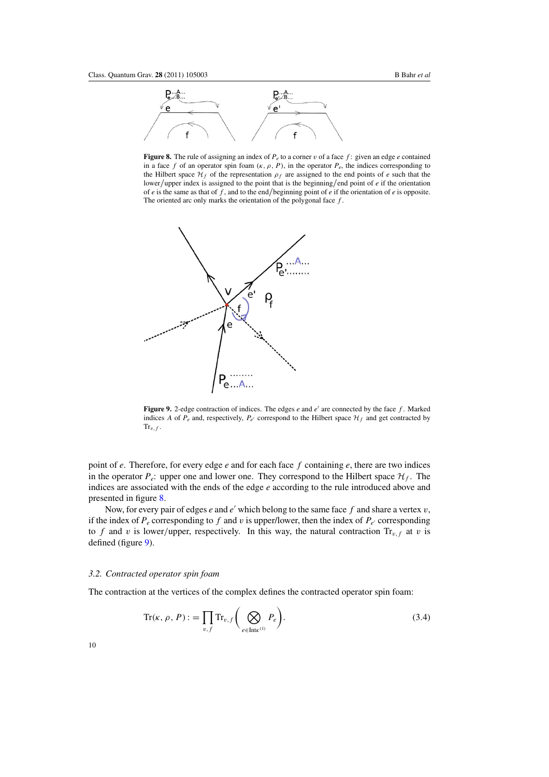<span id="page-10-0"></span>

**Figure 8.** The rule of assigning an index of  $P_e$  to a corner  $v$  of a face  $f$ : given an edge  $e$  contained in a face *f* of an operator spin foam  $(\kappa, \rho, P)$ , in the operator  $P_e$ , the indices corresponding to the Hilbert space  $\mathcal{H}_f$  of the representation  $\rho_f$  are assigned to the end points of *e* such that the lower*/*upper index is assigned to the point that is the beginning*/*end point of *e* if the orientation of *e* is the same as that of *f* , and to the end*/*beginning point of *e* if the orientation of *e* is opposite. The oriented arc only marks the orientation of the polygonal face *f* .



**Figure 9.** 2-edge contraction of indices. The edges  $e$  and  $e'$  are connected by the face  $f$ . Marked indices *A* of  $P_e$  and, respectively,  $P_{e'}$  correspond to the Hilbert space  $\mathcal{H}_f$  and get contracted by  $\text{Tr}_{v,f}$ .

point of *e*. Therefore, for every edge *e* and for each face *f* containing *e*, there are two indices in the operator  $P_e$ : upper one and lower one. They correspond to the Hilbert space  $\mathcal{H}_f$ . The indices are associated with the ends of the edge *e* according to the rule introduced above and presented in figure 8.

Now, for every pair of edges  $e$  and  $e'$  which belong to the same face  $f$  and share a vertex  $v$ , if the index of  $P_e$  corresponding to  $f$  and  $v$  is upper/lower, then the index of  $P_{e'}$  corresponding to *f* and *v* is lower/upper, respectively. In this way, the natural contraction  $Tr_{v,f}$  at *v* is defined (figure 9).

#### *3.2. Contracted operator spin foam*

The contraction at the vertices of the complex defines the contracted operator spin foam:

$$
\operatorname{Tr}(\kappa, \rho, P) := \prod_{v, f} \operatorname{Tr}_{v, f} \bigg( \bigotimes_{e \in \operatorname{Int}\kappa^{(1)}} P_e \bigg). \tag{3.4}
$$

10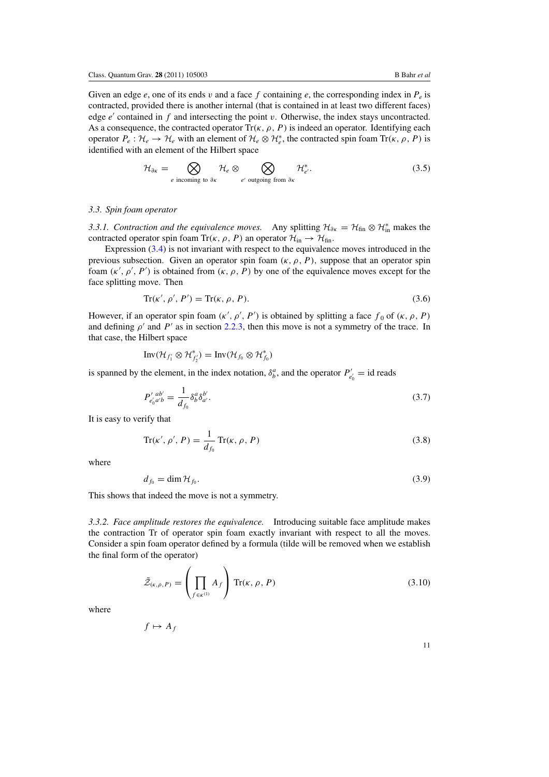<span id="page-11-0"></span>Given an edge  $e$ , one of its ends  $v$  and a face  $f$  containing  $e$ , the corresponding index in  $P_e$  is contracted, provided there is another internal (that is contained in at least two different faces) edge *e'* contained in *f* and intersecting the point *v*. Otherwise, the index stays uncontracted. As a consequence, the contracted operator  $\text{Tr}(\kappa, \rho, P)$  is indeed an operator. Identifying each operator  $P_e: \mathcal{H}_e \to \mathcal{H}_e$  with an element of  $\mathcal{H}_e \otimes \mathcal{H}_e^*$ , the contracted spin foam  $Tr(\kappa, \rho, P)$  is identified with an element of the Hilbert space

$$
\mathcal{H}_{\partial \kappa} = \bigotimes_{e \text{ incoming to } \partial \kappa} \mathcal{H}_e \otimes \bigotimes_{e' \text{ outgoing from } \partial \kappa} \mathcal{H}_{e'}^*.
$$
\n(3.5)

#### *3.3. Spin foam operator*

*3.3.1. Contraction and the equivalence moves.* Any splitting  $\mathcal{H}_{\partial K} = \mathcal{H}_{fin} \otimes \mathcal{H}_{in}^*$  makes the contracted operator spin foam Tr( $\kappa$ ,  $\rho$ , P) an operator  $\mathcal{H}_{in} \rightarrow \mathcal{H}_{fin}$ .

Expression (3*.*[4\)](#page-10-0) is not invariant with respect to the equivalence moves introduced in the previous subsection. Given an operator spin foam  $(\kappa, \rho, P)$ , suppose that an operator spin foam  $(\kappa', \rho', P')$  is obtained from  $(\kappa, \rho, P)$  by one of the equivalence moves except for the face splitting move. Then

$$
Tr(\kappa', \rho', P') = Tr(\kappa, \rho, P). \tag{3.6}
$$

However, if an operator spin foam  $(\kappa', \rho', P')$  is obtained by splitting a face  $f_0$  of  $(\kappa, \rho, P)$ and defining  $\rho'$  and  $P'$  as in section [2.2.3,](#page-6-0) then this move is not a symmetry of the trace. In that case, the Hilbert space

$$
\text{Inv}(\mathcal{H}_{f'_1} \otimes \mathcal{H}_{f'_2}^*) = \text{Inv}(\mathcal{H}_{f_0} \otimes \mathcal{H}_{f_0}^*)
$$

is spanned by the element, in the index notation,  $\delta^a_b$ , and the operator  $P'_{e'_0} = \text{id}$  reads

$$
P'_{e'_0 a'b} = \frac{1}{d_{f_0}} \delta^a_b \delta^{b'}_{a'}.
$$
\n(3.7)

It is easy to verify that

$$
Tr(\kappa', \rho', P) = \frac{1}{d_{f_0}} Tr(\kappa, \rho, P)
$$
\n(3.8)

where

$$
d_{f_0} = \dim \mathcal{H}_{f_0}.\tag{3.9}
$$

This shows that indeed the move is not a symmetry.

*3.3.2. Face amplitude restores the equivalence.* Introducing suitable face amplitude makes the contraction Tr of operator spin foam exactly invariant with respect to all the moves. Consider a spin foam operator defined by a formula (tilde will be removed when we establish the final form of the operator)

$$
\tilde{\mathcal{Z}}_{(\kappa,\rho,P)} = \left(\prod_{f \in \kappa^{(1)}} A_f\right) \operatorname{Tr}(\kappa,\rho,P) \tag{3.10}
$$

where

$$
f \mapsto A_f
$$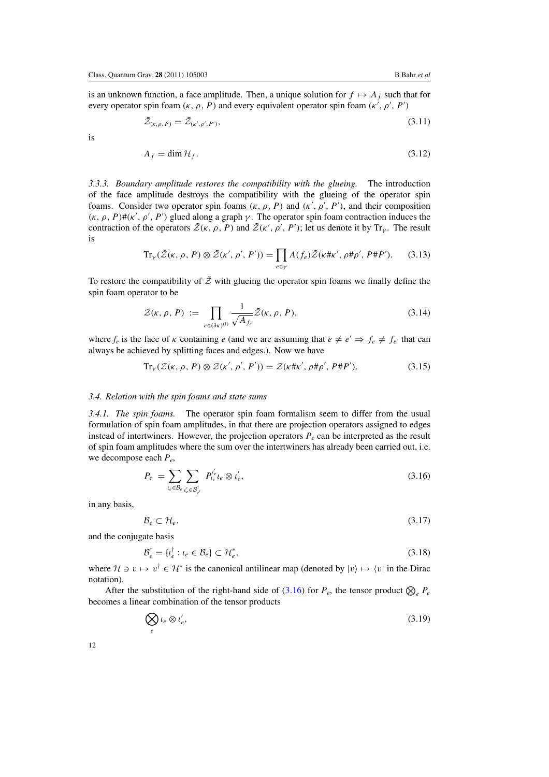<span id="page-12-0"></span>is an unknown function, a face amplitude. Then, a unique solution for  $f \mapsto A_f$  such that for every operator spin foam  $(\kappa, \rho, P)$  and every equivalent operator spin foam  $(\kappa', \rho', P')$ 

$$
\tilde{\mathcal{Z}}_{(\kappa,\rho,P)} = \tilde{\mathcal{Z}}_{(\kappa',\rho',P')},\tag{3.11}
$$

is

$$
A_f = \dim \mathcal{H}_f. \tag{3.12}
$$

*3.3.3. Boundary amplitude restores the compatibility with the glueing.* The introduction of the face amplitude destroys the compatibility with the glueing of the operator spin foams. Consider two operator spin foams  $(\kappa, \rho, P)$  and  $(\kappa', \rho', P')$ , and their composition  $(κ, ρ, P)$  *#*( $κ', ρ', P'$ ) glued along a graph  $γ$ . The operator spin foam contraction induces the contraction of the operators  $\tilde{Z}(\kappa, \rho, P)$  and  $\tilde{Z}(\kappa', \rho', P')$ ; let us denote it by Tr<sub>*γ*</sub>. The result is

$$
\text{Tr}_{\gamma}(\tilde{\mathcal{Z}}(\kappa,\rho,P)\otimes\tilde{\mathcal{Z}}(\kappa',\rho',P'))=\prod_{e\in\gamma}A(f_e)\tilde{\mathcal{Z}}(\kappa\#\kappa',\rho\#\rho',P\#P').\tag{3.13}
$$

To restore the compatibility of  $\tilde{Z}$  with glueing the operator spin foams we finally define the spin foam operator to be

$$
\mathcal{Z}(\kappa,\rho,P) := \prod_{e \in (\partial \kappa)^{(1)}} \frac{1}{\sqrt{A_{f_e}}} \tilde{\mathcal{Z}}(\kappa,\rho,P), \tag{3.14}
$$

where  $f_e$  is the face of *κ* containing *e* (and we are assuming that  $e \neq e' \Rightarrow f_e \neq f_{e'}$  that can always be achieved by splitting faces and edges.). Now we have

$$
\text{Tr}_{\gamma}(\mathcal{Z}(\kappa, \rho, P) \otimes \mathcal{Z}(\kappa', \rho', P')) = \mathcal{Z}(\kappa \# \kappa', \rho \# \rho', P \# P'). \tag{3.15}
$$

#### *3.4. Relation with the spin foams and state sums*

*3.4.1. The spin foams.* The operator spin foam formalism seem to differ from the usual formulation of spin foam amplitudes, in that there are projection operators assigned to edges instead of intertwiners. However, the projection operators  $P_e$  can be interpreted as the result of spin foam amplitudes where the sum over the intertwiners has already been carried out, i.e. we decompose each *Pe*,

$$
P_e = \sum_{l_e \in \mathcal{B}_e} \sum_{l'_e \in \mathcal{B}^{\dagger}_{e'}} P_{l_e}^{l'_e} l_e \otimes l'_e,\tag{3.16}
$$

in any basis,

$$
\mathcal{B}_e \subset \mathcal{H}_e,\tag{3.17}
$$

and the conjugate basis

$$
\mathcal{B}_e^{\dagger} = \{ \iota_e^{\dagger} : \iota_e \in \mathcal{B}_e \} \subset \mathcal{H}_e^*, \tag{3.18}
$$

where  $H \ni v \mapsto v^{\dagger} \in H^*$  is the canonical antilinear map (denoted by  $|v\rangle \mapsto \langle v|$  in the Dirac notation).

After the substitution of the right-hand side of  $(3.16)$  for  $P_e$ , the tensor product  $\bigotimes_e P_e$ becomes a linear combination of the tensor products

$$
\bigotimes_{e} l_e \otimes l'_e,\tag{3.19}
$$

12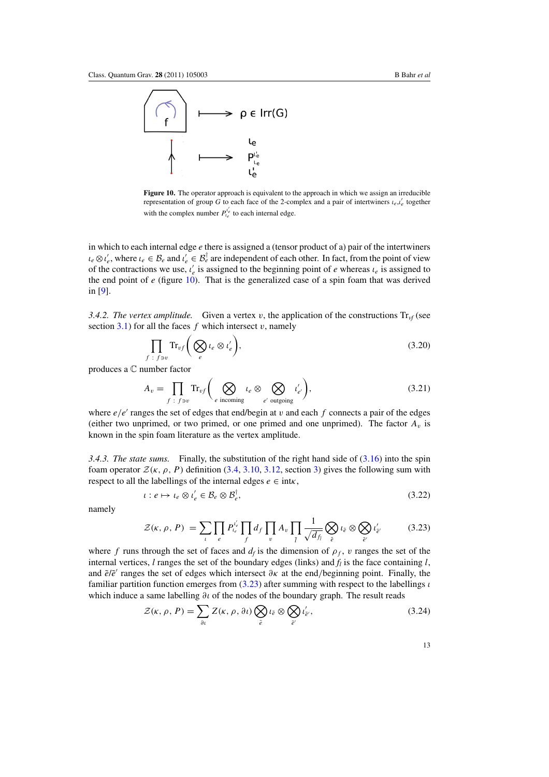<span id="page-13-0"></span>

**Figure 10.** The operator approach is equivalent to the approach in which we assign an irreducible representation of group *G* to each face of the 2-complex and a pair of intertwiners  $\iota_e, \iota'_e$  together with the complex number  $P_{i_e}^{t'_e}$  to each internal edge.

in which to each internal edge *e* there is assigned a (tensor product of a) pair of the intertwiners  $\iota_e \otimes \iota'_e$ , where  $\iota_e \in \mathcal{B}_e$  and  $\iota'_e \in \mathcal{B}_e^{\dagger}$  are independent of each other. In fact, from the point of view of the contractions we use,  $\iota_e$  is assigned to the beginning point of *e* whereas  $\iota_e$  is assigned to the end point of *e* (figure 10). That is the generalized case of a spin foam that was derived in [\[9](#page-22-0)].

*3.4.2. The vertex amplitude.* Given a vertex *v*, the application of the constructions  $Tr_{\nu f}$  (see section  $3.1$ ) for all the faces *f* which intersect *v*, namely

$$
\prod_{f \;:\; f \ni v} \mathrm{Tr}_{vf} \bigg( \bigotimes_e \iota_e \otimes \iota'_e \bigg),\tag{3.20}
$$

produces a C number factor

$$
A_v = \prod_{f \; : \; f \ni v} \text{Tr}_{vf} \bigg( \bigotimes_{e \text{ incoming}} \iota_e \otimes \bigotimes_{e' \text{ outgoing}} \iota'_{e'} \bigg),\tag{3.21}
$$

where  $e/e'$  ranges the set of edges that end/begin at *v* and each  $f$  connects a pair of the edges (either two unprimed, or two primed, or one primed and one unprimed). The factor  $A<sub>v</sub>$  is known in the spin foam literature as the vertex amplitude.

*3.4.3. The state sums.* Finally, the substitution of the right hand side of (3*.*[16\)](#page-12-0) into the spin foam operator  $\mathcal{Z}(\kappa, \rho, P)$  definition [\(3](#page-10-0).4, 3.[10,](#page-11-0) 3.[12,](#page-12-0) section [3\)](#page-9-0) gives the following sum with respect to all the labellings of the internal edges  $e \in \text{int} \kappa$ ,

$$
\iota: e \mapsto \iota_e \otimes \iota'_e \in \mathcal{B}_e \otimes \mathcal{B}_e^{\dagger},\tag{3.22}
$$

namely

$$
\mathcal{Z}(\kappa,\,\rho,\,P) \ = \sum_{\iota} \prod_{e} P_{\iota_e}^{\iota_e'} \prod_{f} d_f \prod_{v} A_v \prod_{\tilde{l}} \frac{1}{\sqrt{d_{f_i}}} \bigotimes_{\tilde{e}} \iota_{\tilde{e}} \otimes \bigotimes_{\tilde{e}'} \iota_{\tilde{e}'} \tag{3.23}
$$

where *f* runs through the set of faces and  $d_f$  is the dimension of  $\rho_f$ , *v* ranges the set of the internal vertices,  $l$  ranges the set of the boundary edges (links) and  $f_l$  is the face containing  $l$ , and *e*˜/*e*˜ ranges the set of edges which intersect *∂κ* at the end*/*beginning point. Finally, the familiar partition function emerges from (3*.*23) after summing with respect to the labellings *ι* which induce a same labelling  $\partial$ *ι* of the nodes of the boundary graph. The result reads

$$
\mathcal{Z}(\kappa,\rho,P) = \sum_{\partial t} Z(\kappa,\rho,\partial t) \bigotimes_{\tilde{e}} \iota_{\tilde{e}} \otimes \bigotimes_{\tilde{e}'} \iota'_{\tilde{e}'},\tag{3.24}
$$

13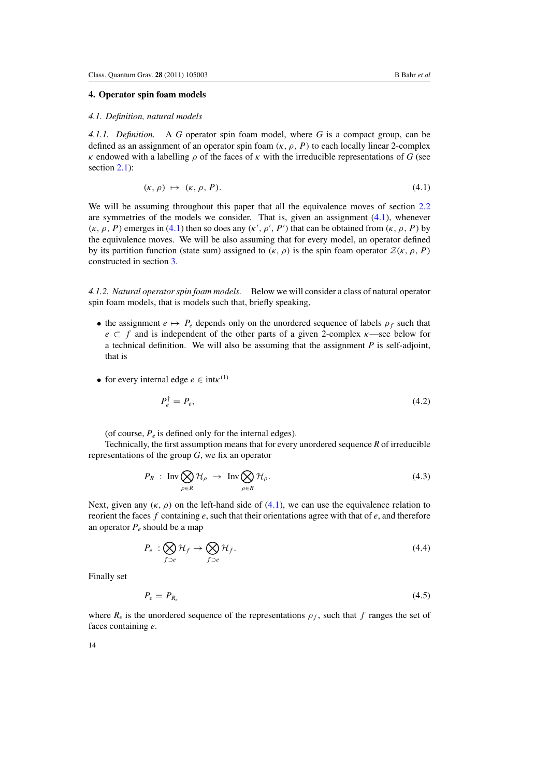# <span id="page-14-0"></span>**4. Operator spin foam models** *4.1. Definition, natural models*

*4.1.1. Definition.* A *G* operator spin foam model, where *G* is a compact group, can be defined as an assignment of an operator spin foam  $(\kappa, \rho, P)$  to each locally linear 2-complex *κ* endowed with a labelling *ρ* of the faces of *κ* with the irreducible representations of *G* (see section [2.1\)](#page-3-0):

$$
(\kappa, \rho) \mapsto (\kappa, \rho, P). \tag{4.1}
$$

We will be assuming throughout this paper that all the equivalence moves of section [2.2](#page-4-0) are symmetries of the models we consider. That is, given an assignment (4*.*1), whenever *(κ, ρ, P)* emerges in (4.1) then so does any  $(κ', ρ', P')$  that can be obtained from  $(κ, ρ, P)$  by the equivalence moves. We will be also assuming that for every model, an operator defined by its partition function (state sum) assigned to  $(\kappa, \rho)$  is the spin foam operator  $\mathcal{Z}(\kappa, \rho, P)$ constructed in section [3.](#page-9-0)

*4.1.2. Natural operator spin foam models.* Below we will consider a class of natural operator spin foam models, that is models such that, briefly speaking,

- the assignment  $e \mapsto P_e$  depends only on the unordered sequence of labels  $\rho_f$  such that *e* ⊂ *f* and is independent of the other parts of a given 2-complex *κ*—see below for a technical definition. We will also be assuming that the assignment *P* is self-adjoint, that is
- for every internal edge  $e \in \text{int } \kappa^{(1)}$

$$
P_e^{\dagger} = P_e,\tag{4.2}
$$

(of course,  $P_e$  is defined only for the internal edges).

Technically, the first assumption means that for every unordered sequence *R* of irreducible representations of the group *G*, we fix an operator

$$
P_R : \operatorname{Inv} \bigotimes_{\rho \in R} \mathcal{H}_{\rho} \to \operatorname{Inv} \bigotimes_{\rho \in R} \mathcal{H}_{\rho}. \tag{4.3}
$$

Next, given any  $(\kappa, \rho)$  on the left-hand side of (4.1), we can use the equivalence relation to reorient the faces *f* containing *e*, such that their orientations agree with that of *e*, and therefore an operator  $P_e$  should be a map

$$
P_e : \bigotimes_{f \supset e} \mathcal{H}_f \to \bigotimes_{f \supset e} \mathcal{H}_f. \tag{4.4}
$$

Finally set

$$
P_e = P_{R_e} \tag{4.5}
$$

where  $R_e$  is the unordered sequence of the representations  $\rho_f$ , such that f ranges the set of faces containing *e*.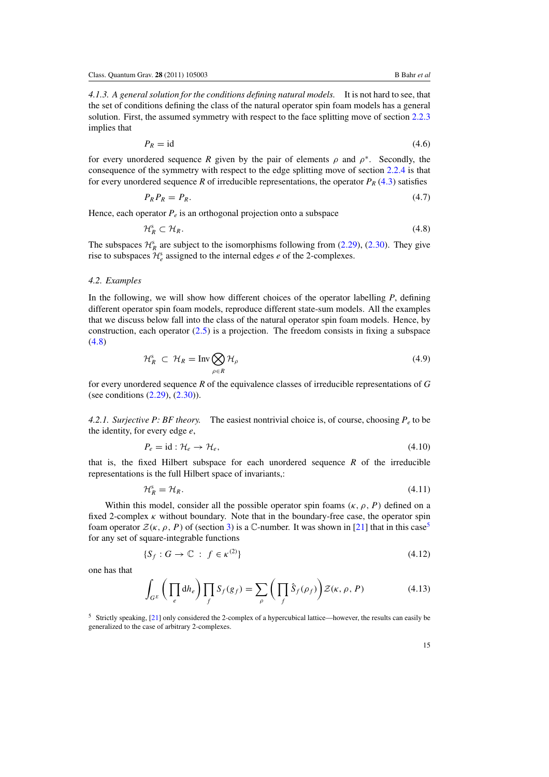<span id="page-15-0"></span>*4.1.3. A general solution for the conditions defining natural models.* It is not hard to see, that the set of conditions defining the class of the natural operator spin foam models has a general solution. First, the assumed symmetry with respect to the face splitting move of section [2.2.3](#page-6-0) implies that

$$
P_R = \text{id} \tag{4.6}
$$

for every unordered sequence *R* given by the pair of elements  $\rho$  and  $\rho^*$ . Secondly, the consequence of the symmetry with respect to the edge splitting move of section [2.2.4](#page-6-0) is that for every unordered sequence *R* of irreducible representations, the operator  $P_R$  (4.[3\)](#page-14-0) satisfies

$$
P_R P_R = P_R. \tag{4.7}
$$

Hence, each operator  $P_e$  is an orthogonal projection onto a subspace

$$
\mathcal{H}_R^s \subset \mathcal{H}_R. \tag{4.8}
$$

The subspaces  $\mathcal{H}_R^s$  are subject to the isomorphisms following from (2.[29\)](#page-7-0), (2.[30\)](#page-7-0). They give rise to subspaces  $\mathcal{H}_e^s$  assigned to the internal edges *e* of the 2-complexes.

# *4.2. Examples*

In the following, we will show how different choices of the operator labelling *P*, defining different operator spin foam models, reproduce different state-sum models. All the examples that we discuss below fall into the class of the natural operator spin foam models. Hence, by construction, each operator (2*.*[5\)](#page-4-0) is a projection. The freedom consists in fixing a subspace (4*.*8)

$$
\mathcal{H}_R^s \subset \mathcal{H}_R = \text{Inv} \bigotimes_{\rho \in R} \mathcal{H}_\rho \tag{4.9}
$$

for every unordered sequence *R* of the equivalence classes of irreducible representations of *G* (see conditions (2*.*[29\)](#page-7-0), (2*.*[30\)](#page-7-0)).

*4.2.1. Surjective P: BF theory.* The easiest nontrivial choice is, of course, choosing  $P_e$  to be the identity, for every edge *e*,

$$
P_e = \text{id} : \mathcal{H}_e \to \mathcal{H}_e,\tag{4.10}
$$

that is, the fixed Hilbert subspace for each unordered sequence *R* of the irreducible representations is the full Hilbert space of invariants,:

$$
\mathcal{H}_R^s = \mathcal{H}_R. \tag{4.11}
$$

Within this model, consider all the possible operator spin foams  $(\kappa, \rho, P)$  defined on a fixed 2-complex *κ* without boundary. Note that in the boundary-free case, the operator spin foam operator  $\mathcal{Z}(\kappa, \rho, P)$  of (section [3\)](#page-9-0) is a C-number. It was shown in [\[21\]](#page-22-0) that in this case<sup>5</sup> for any set of square-integrable functions

$$
\{S_f : G \to \mathbb{C} \; : \; f \in \kappa^{(2)}\} \tag{4.12}
$$

one has that

$$
\int_{G^E} \left( \prod_e \mathrm{d} h_e \right) \prod_f S_f(g_f) = \sum_{\rho} \left( \prod_f \hat{S}_f(\rho_f) \right) \mathcal{Z}(\kappa, \rho, P) \tag{4.13}
$$

<sup>5</sup> Strictly speaking, [\[21](#page-22-0)] only considered the 2-complex of a hypercubical lattice—however, the results can easily be generalized to the case of arbitrary 2-complexes.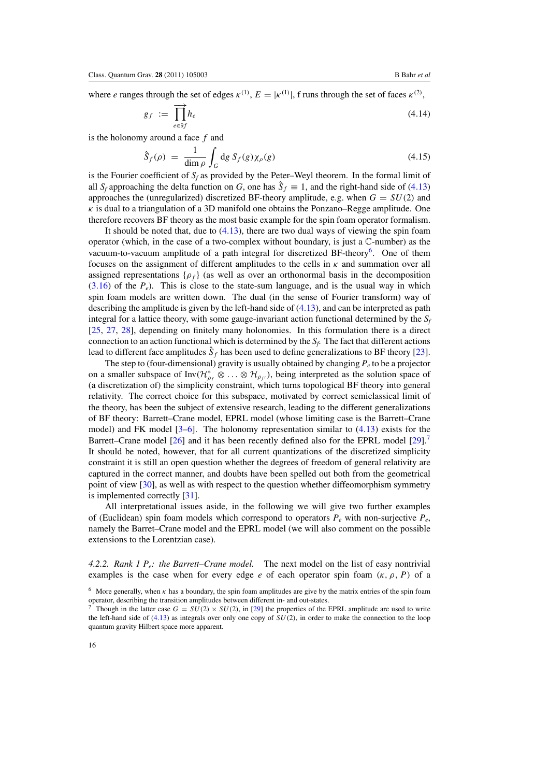where *e* ranges through the set of edges  $\kappa^{(1)}$ ,  $E = |\kappa^{(1)}|$ , f runs through the set of faces  $\kappa^{(2)}$ ,

$$
g_f := \prod_{e \in \partial f}^{\longrightarrow} h_e \tag{4.14}
$$

is the holonomy around a face *f* and

$$
\hat{S}_f(\rho) = \frac{1}{\dim \rho} \int_G dg S_f(g) \chi_\rho(g) \tag{4.15}
$$

is the Fourier coefficient of  $S_f$  as provided by the Peter–Weyl theorem. In the formal limit of all *S<sub>f</sub>* approaching the delta function on *G*, one has  $\hat{S}_f \equiv 1$ , and the right-hand side of (4.[13\)](#page-15-0) approaches the (unregularized) discretized BF-theory amplitude, e.g. when  $G = SU(2)$  and  $\kappa$  is dual to a triangulation of a 3D manifold one obtains the Ponzano–Regge amplitude. One therefore recovers BF theory as the most basic example for the spin foam operator formalism.

It should be noted that, due to (4*.*[13\)](#page-15-0), there are two dual ways of viewing the spin foam operator (which, in the case of a two-complex without boundary, is just a C-number) as the vacuum-to-vacuum amplitude of a path integral for discretized  $BF$ -theory<sup>6</sup>. One of them focuses on the assignment of different amplitudes to the cells in *κ* and summation over all assigned representations  $\{\rho_f\}$  (as well as over an orthonormal basis in the decomposition  $(3.16)$  $(3.16)$  of the  $P_e$ ). This is close to the state-sum language, and is the usual way in which spin foam models are written down. The dual (in the sense of Fourier transform) way of describing the amplitude is given by the left-hand side of (4*.*[13\)](#page-15-0), and can be interpreted as path integral for a lattice theory, with some gauge-invariant action functional determined by the  $S_f$ [\[25](#page-22-0), [27](#page-22-0), [28\]](#page-22-0), depending on finitely many holonomies. In this formulation there is a direct connection to an action functional which is determined by the  $S_f$ . The fact that different actions lead to different face amplitudes  $\hat{S}_f$  has been used to define generalizations to BF theory [\[23\]](#page-22-0).

The step to (four-dimensional) gravity is usually obtained by changing  $P_e$  to be a projector on a smaller subspace of  $Inv(\mathcal{H}_{\rho_f}^* \otimes \ldots \otimes \mathcal{H}_{\rho_{f'}})$ , being interpreted as the solution space of (a discretization of) the simplicity constraint, which turns topological BF theory into general relativity. The correct choice for this subspace, motivated by correct semiclassical limit of the theory, has been the subject of extensive research, leading to the different generalizations of BF theory: Barrett–Crane model, EPRL model (whose limiting case is the Barrett–Crane model) and FK model [\[3–6](#page-21-0)]. The holonomy representation similar to (4*.*[13\)](#page-15-0) exists for the Barrett–Crane model [\[26](#page-22-0)] and it has been recently defined also for the EPRL model [\[29\]](#page-23-0).<sup>7</sup> It should be noted, however, that for all current quantizations of the discretized simplicity constraint it is still an open question whether the degrees of freedom of general relativity are captured in the correct manner, and doubts have been spelled out both from the geometrical point of view [\[30](#page-23-0)], as well as with respect to the question whether diffeomorphism symmetry is implemented correctly [\[31\]](#page-23-0).

All interpretational issues aside, in the following we will give two further examples of (Euclidean) spin foam models which correspond to operators *Pe* with non-surjective *Pe*, namely the Barret–Crane model and the EPRL model (we will also comment on the possible extensions to the Lorentzian case).

*4.2.2. Rank 1 Pe: the Barrett–Crane model.* The next model on the list of easy nontrivial examples is the case when for every edge *e* of each operator spin foam  $(\kappa, \rho, P)$  of a

<sup>&</sup>lt;sup>6</sup> More generally, when  $\kappa$  has a boundary, the spin foam amplitudes are give by the matrix entries of the spin foam operator, describing the transition amplitudes between different in- and out-states.

Though in the latter case  $G = SU(2) \times SU(2)$ , in [\[29\]](#page-23-0) the properties of the EPRL amplitude are used to write the left-hand side of  $(4.13)$  $(4.13)$  as integrals over only one copy of  $SU(2)$ , in order to make the connection to the loop quantum gravity Hilbert space more apparent.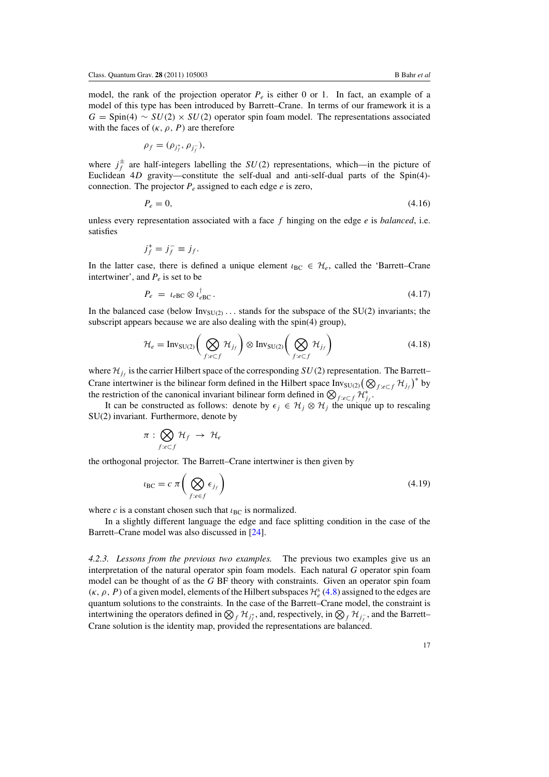model, the rank of the projection operator  $P_e$  is either 0 or 1. In fact, an example of a model of this type has been introduced by Barrett–Crane. In terms of our framework it is a  $G =$  Spin(4) ~  $SU(2) \times SU(2)$  operator spin foam model. The representations associated with the faces of  $(\kappa, \rho, P)$  are therefore

$$
\rho_f=(\rho_{j_f^+},\rho_{j_f^-}),
$$

where  $j_f^{\pm}$  are half-integers labelling the *SU(2)* representations, which—in the picture of Euclidean 4*D* gravity—constitute the self-dual and anti-self-dual parts of the Spin(4) connection. The projector  $P_e$  assigned to each edge  $e$  is zero,

$$
P_e = 0,\t\t(4.16)
$$

unless every representation associated with a face *f* hinging on the edge *e* is *balanced*, i.e. satisfies

$$
j_f^+ = j_f^- \equiv j_f.
$$

In the latter case, there is defined a unique element  $\iota_{BC} \in \mathcal{H}_e$ , called the 'Barrett–Crane intertwiner', and  $P_e$  is set to be

$$
P_e = \iota_{eBC} \otimes \iota_{eBC}^{\dagger}.
$$
\n(4.17)

In the balanced case (below  $Inv_{SU(2)}$ ... stands for the subspace of the  $SU(2)$  invariants; the subscript appears because we are also dealing with the spin(4) group),

$$
\mathcal{H}_e = \text{Inv}_{\text{SU}(2)} \bigg( \bigotimes_{f: e \subset f} \mathcal{H}_{j_f} \bigg) \otimes \text{Inv}_{\text{SU}(2)} \bigg( \bigotimes_{f: e \subset f} \mathcal{H}_{j_f} \bigg) \tag{4.18}
$$

where  $\mathcal{H}_{i}$  is the carrier Hilbert space of the corresponding *SU*(2) representation. The Barrett– Crane intertwiner is the bilinear form defined in the Hilbert space  $\text{Inv}_{\text{SU}(2)}(\bigotimes_{f:e\subset f} \mathcal{H}_{j}^f)$ <sup>\*</sup> by the restriction of the canonical invariant bilinear form defined in  $\bigotimes_{f: e \subset f} \mathcal{H}_{j_f}^*$ .

It can be constructed as follows: denote by  $\epsilon_j \in \mathcal{H}_j \otimes \mathcal{H}_j$  the unique up to rescaling SU(2) invariant. Furthermore, denote by

$$
\pi: \bigotimes_{f: e \subset f} \mathcal{H}_f \ \to \ \mathcal{H}_e
$$

the orthogonal projector. The Barrett–Crane intertwiner is then given by

$$
u_{\rm BC} = c \pi \left( \bigotimes_{f:ee} \epsilon_{j_f} \right) \tag{4.19}
$$

where *c* is a constant chosen such that  $\iota_{BC}$  is normalized.

In a slightly different language the edge and face splitting condition in the case of the Barrett–Crane model was also discussed in [\[24\]](#page-22-0).

*4.2.3. Lessons from the previous two examples.* The previous two examples give us an interpretation of the natural operator spin foam models. Each natural *G* operator spin foam model can be thought of as the *G* BF theory with constraints. Given an operator spin foam  $(κ, ρ, P)$  of a given model, elements of the Hilbert subspaces  $H_e^s(4.8)$  $H_e^s(4.8)$  $H_e^s(4.8)$  assigned to the edges are quantum solutions to the constraints. In the case of the Barrett–Crane model, the constraint is intertwining the operators defined in  $\bigotimes_f \mathcal{H}_{j_f^+}$ , and, respectively, in  $\bigotimes_f \mathcal{H}_{j_f^-}$ , and the Barrett– Crane solution is the identity map, provided the representations are balanced.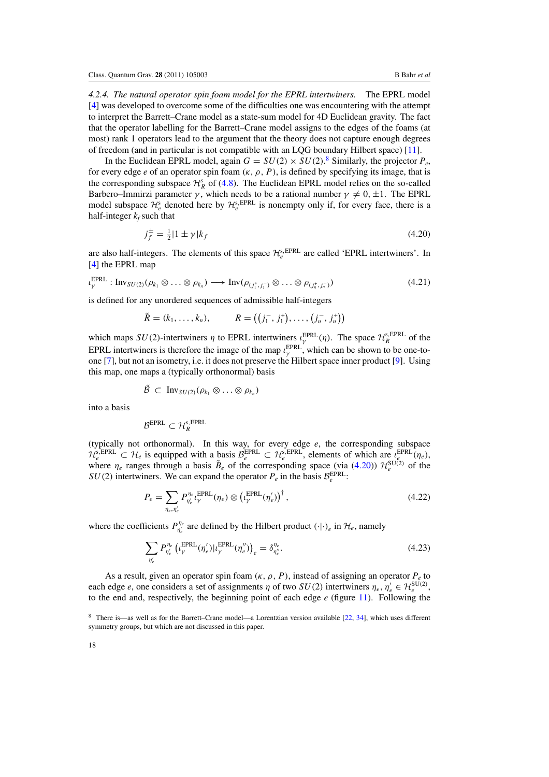*4.2.4. The natural operator spin foam model for the EPRL intertwiners.* The EPRL model [\[4](#page-21-0)] was developed to overcome some of the difficulties one was encountering with the attempt to interpret the Barrett–Crane model as a state-sum model for 4D Euclidean gravity. The fact that the operator labelling for the Barrett–Crane model assigns to the edges of the foams (at most) rank 1 operators lead to the argument that the theory does not capture enough degrees of freedom (and in particular is not compatible with an LQG boundary Hilbert space) [\[11\]](#page-22-0).

In the Euclidean EPRL model, again  $G = SU(2) \times SU(2)$ .<sup>8</sup> Similarly, the projector  $P_e$ , for every edge *e* of an operator spin foam  $(\kappa, \rho, P)$ , is defined by specifying its image, that is the corresponding subspace  $\mathcal{H}_{R}^{s}$  of [\(4](#page-15-0).8). The Euclidean EPRL model relies on the so-called Barbero–Immirzi parameter  $\gamma$ , which needs to be a rational number  $\gamma \neq 0, \pm 1$ . The EPRL model subspace  $\mathcal{H}_e^s$  denoted here by  $\mathcal{H}_e^{s,\text{EPRL}}$  is nonempty only if, for every face, there is a half-integer  $k_f$  such that

$$
j_f^{\pm} = \frac{1}{2} |1 \pm \gamma| k_f \tag{4.20}
$$

are also half-integers. The elements of this space  $\mathcal{H}_e^{\text{s,EPRL}}$  are called 'EPRL intertwiners'. In [\[4](#page-21-0)] the EPRL map

$$
\iota_{\gamma}^{\text{EPRL}} : \text{Inv}_{SU(2)}(\rho_{k_1} \otimes \ldots \otimes \rho_{k_n}) \longrightarrow \text{Inv}(\rho_{(j_1^+, j_1^-)} \otimes \ldots \otimes \rho_{(j_n^+, j_n^-)})
$$
(4.21)

is defined for any unordered sequences of admissible half-integers

$$
\tilde{R} = (k_1, ..., k_n), \qquad R = ((j_1^-, j_1^+), ..., (j_n^-, j_n^+))
$$

which maps  $SU(2)$ -intertwiners  $\eta$  to EPRL intertwiners  $\iota_{\gamma}^{EPRL}(\eta)$ . The space  $\mathcal{H}_R^{s,EPRL}$  of the EPRL intertwiners is therefore the image of the map  $\iota_{\gamma}^{\text{EPRL}}$ , which can be shown to be one-toone [\[7\]](#page-21-0), but not an isometry, i.e. it does not preserve the Hilbert space inner product [\[9](#page-22-0)]. Using this map, one maps a (typically orthonormal) basis

$$
\tilde{\mathcal{B}} \subset \text{Inv}_{SU(2)}(\rho_{k_1} \otimes \ldots \otimes \rho_{k_n})
$$

into a basis

$$
\mathcal{B}^{\text{EPRL}} \subset \mathcal{H}_{R}^{\text{s,EPRL}}
$$

(typically not orthonormal). In this way, for every edge *e*, the corresponding subspace  $\mathcal{H}_e^{s, EPRL} \subset \mathcal{H}_e$  is equipped with a basis  $\mathcal{B}_e^{EPRL} \subset \mathcal{H}_e^{s, EPRL}$ , elements of which are  $\iota_e^{EPRL}(\eta_e)$ , where  $\eta_e$  ranges through a basis  $\tilde{B}_e$  of the corresponding space (via (4.20))  $\mathcal{H}_e^{\text{SU(2)}}$  of the  $SU(2)$  intertwiners. We can expand the operator  $P_e$  in the basis  $\mathcal{B}_e^{\text{EPRL}}$ .

$$
P_e = \sum_{\eta_e, \eta'_e} P_{\eta'_e}^{\eta_e} \iota_{\gamma}^{\text{EPRL}}(\eta_e) \otimes \left(\iota_{\gamma}^{\text{EPRL}}(\eta'_e)\right)^{\dagger},\tag{4.22}
$$

where the coefficients  $P_{\eta_e}^{\eta_e}$  are defined by the Hilbert product  $(\cdot|\cdot)_e$  in  $\mathcal{H}_e$ , namely

$$
\sum_{\eta'_e} P_{\eta'_e}^{\eta_e} \left( t_{\gamma}^{\text{EPRL}}(\eta'_e) | t_{\gamma}^{\text{EPRL}}(\eta''_e) \right)_e = \delta_{\eta''_e}^{\eta_e}.
$$
\n(4.23)

As a result, given an operator spin foam  $(\kappa, \rho, P)$ , instead of assigning an operator  $P_e$  to each edge *e*, one considers a set of assignments  $\eta$  of two  $SU(2)$  intertwiners  $\eta_e, \eta'_e \in \mathcal{H}_e^{\text{SU}(2)}$ , to the end and, respectively, the beginning point of each edge *e* (figure [11\)](#page-19-0). Following the

<sup>8</sup> There is—as well as for the Barrett–Crane model—a Lorentzian version available [\[22,](#page-22-0) [34](#page-23-0)], which uses different symmetry groups, but which are not discussed in this paper.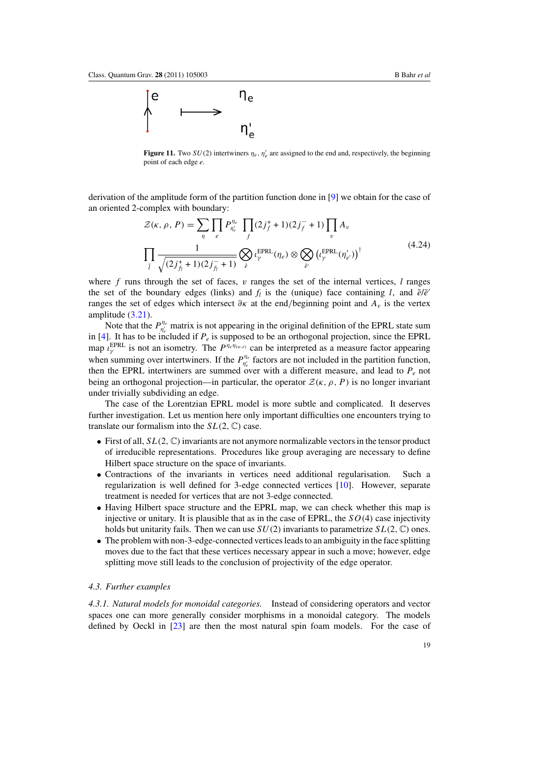<span id="page-19-0"></span>

**Figure 11.** Two  $SU(2)$  intertwiners  $\eta_e$ ,  $\eta'_e$  are assigned to the end and, respectively, the beginning point of each edge *e*.

derivation of the amplitude form of the partition function done in [\[9\]](#page-22-0) we obtain for the case of an oriented 2-complex with boundary:

$$
\mathcal{Z}(\kappa, \rho, P) = \sum_{\eta} \prod_{e} P_{\eta'_e}^{\eta_e} \prod_{f} (2j_f^+ + 1)(2j_f^- + 1) \prod_{v} A_v
$$
\n
$$
\prod_{l} \frac{1}{\sqrt{(2j_f^+ + 1)(2j_f^- + 1)}} \bigotimes_{e} l_{\gamma}^{\text{EPRL}}(\eta_e) \otimes \bigotimes_{\tilde{e}'} \left(l_{\gamma}^{\text{EPRL}}(\eta'_{e'})\right)^{\dagger}
$$
\n(4.24)

where *f* runs through the set of faces, *v* ranges the set of the internal vertices, *l* ranges the set of the boundary edges (links) and  $f_l$  is the (unique) face containing *l*, and  $\tilde{e}/\tilde{e}$ ranges the set of edges which intersect  $\partial$ *κ* at the end/beginning point and  $A$ <sup>*v*</sup> is the vertex amplitude (3*.*[21\)](#page-13-0).

Note that the  $P_{\eta_e}^{\eta_e}$  matrix is not appearing in the original definition of the EPRL state sum in  $[4]$ . It has to be included if  $P_e$  is supposed to be an orthogonal projection, since the EPRL map  $\iota_Y^{EPRL}$  is not an isometry. The  $P^{\eta_e \eta_{(w,e)}}$  can be interpreted as a measure factor appearing when summing over intertwiners. If the  $P_{\eta_e}^{\eta_e}$  factors are not included in the partition function, then the EPRL intertwiners are summed over with a different measure, and lead to  $P_e$  not being an orthogonal projection—in particular, the operator  $\mathcal{Z}(\kappa, \rho, P)$  is no longer invariant under trivially subdividing an edge.

The case of the Lorentzian EPRL model is more subtle and complicated. It deserves further investigation. Let us mention here only important difficulties one encounters trying to translate our formalism into the  $SL(2, \mathbb{C})$  case.

- First of all,  $SL(2,\mathbb{C})$  invariants are not anymore normalizable vectors in the tensor product of irreducible representations. Procedures like group averaging are necessary to define Hilbert space structure on the space of invariants.
- Contractions of the invariants in vertices need additional regularisation. Such a regularization is well defined for 3-edge connected vertices [\[10\]](#page-22-0). However, separate treatment is needed for vertices that are not 3-edge connected.
- Having Hilbert space structure and the EPRL map, we can check whether this map is injective or unitary. It is plausible that as in the case of EPRL, the *SO(*4*)* case injectivity holds but unitarity fails. Then we can use  $SU(2)$  invariants to parametrize  $SL(2, \mathbb{C})$  ones.
- The problem with non-3-edge-connected vertices leads to an ambiguity in the face splitting moves due to the fact that these vertices necessary appear in such a move; however, edge splitting move still leads to the conclusion of projectivity of the edge operator.

#### *4.3. Further examples*

*4.3.1. Natural models for monoidal categories.* Instead of considering operators and vector spaces one can more generally consider morphisms in a monoidal category. The models defined by Oeckl in [\[23\]](#page-22-0) are then the most natural spin foam models. For the case of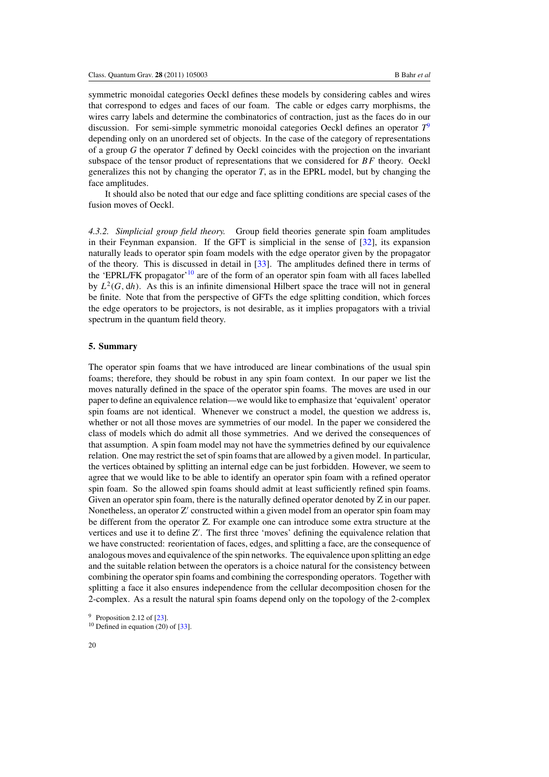symmetric monoidal categories Oeckl defines these models by considering cables and wires that correspond to edges and faces of our foam. The cable or edges carry morphisms, the wires carry labels and determine the combinatorics of contraction, just as the faces do in our discussion. For semi-simple symmetric monoidal categories Oeckl defines an operator *T*<sup>9</sup> depending only on an unordered set of objects. In the case of the category of representations of a group *G* the operator *T* defined by Oeckl coincides with the projection on the invariant subspace of the tensor product of representations that we considered for *BF* theory. Oeckl generalizes this not by changing the operator *T*, as in the EPRL model, but by changing the face amplitudes.

It should also be noted that our edge and face splitting conditions are special cases of the fusion moves of Oeckl.

*4.3.2. Simplicial group field theory.* Group field theories generate spin foam amplitudes in their Feynman expansion. If the GFT is simplicial in the sense of [\[32\]](#page-23-0), its expansion naturally leads to operator spin foam models with the edge operator given by the propagator of the theory. This is discussed in detail in [\[33\]](#page-23-0). The amplitudes defined there in terms of the 'EPRL/FK propagator'<sup>10</sup> are of the form of an operator spin foam with all faces labelled by  $L^2(G, dh)$ . As this is an infinite dimensional Hilbert space the trace will not in general be finite. Note that from the perspective of GFTs the edge splitting condition, which forces the edge operators to be projectors, is not desirable, as it implies propagators with a trivial spectrum in the quantum field theory.

#### **5. Summary**

The operator spin foams that we have introduced are linear combinations of the usual spin foams; therefore, they should be robust in any spin foam context. In our paper we list the moves naturally defined in the space of the operator spin foams. The moves are used in our paper to define an equivalence relation—we would like to emphasize that 'equivalent' operator spin foams are not identical. Whenever we construct a model, the question we address is, whether or not all those moves are symmetries of our model. In the paper we considered the class of models which do admit all those symmetries. And we derived the consequences of that assumption. A spin foam model may not have the symmetries defined by our equivalence relation. One may restrict the set of spin foams that are allowed by a given model. In particular, the vertices obtained by splitting an internal edge can be just forbidden. However, we seem to agree that we would like to be able to identify an operator spin foam with a refined operator spin foam. So the allowed spin foams should admit at least sufficiently refined spin foams. Given an operator spin foam, there is the naturally defined operator denoted by Z in our paper. Nonetheless, an operator  $Z'$  constructed within a given model from an operator spin foam may be different from the operator Z. For example one can introduce some extra structure at the vertices and use it to define Z'. The first three 'moves' defining the equivalence relation that we have constructed: reorientation of faces, edges, and splitting a face, are the consequence of analogous moves and equivalence of the spin networks. The equivalence upon splitting an edge and the suitable relation between the operators is a choice natural for the consistency between combining the operator spin foams and combining the corresponding operators. Together with splitting a face it also ensures independence from the cellular decomposition chosen for the 2-complex. As a result the natural spin foams depend only on the topology of the 2-complex

 $10$  Defined in equation (20) of [\[33](#page-23-0)].

<sup>&</sup>lt;sup>9</sup> Proposition 2.12 of  $[23]$ .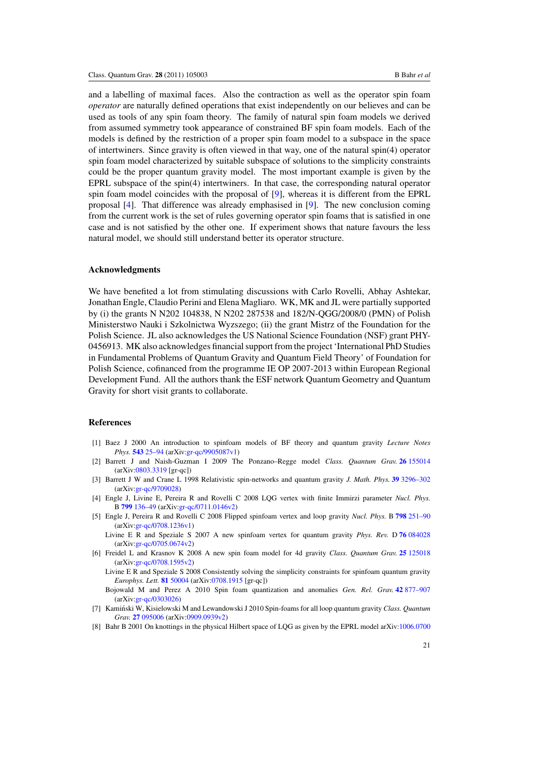<span id="page-21-0"></span>and a labelling of maximal faces. Also the contraction as well as the operator spin foam *operator* are naturally defined operations that exist independently on our believes and can be used as tools of any spin foam theory. The family of natural spin foam models we derived from assumed symmetry took appearance of constrained BF spin foam models. Each of the models is defined by the restriction of a proper spin foam model to a subspace in the space of intertwiners. Since gravity is often viewed in that way, one of the natural spin(4) operator spin foam model characterized by suitable subspace of solutions to the simplicity constraints could be the proper quantum gravity model. The most important example is given by the EPRL subspace of the spin(4) intertwiners. In that case, the corresponding natural operator spin foam model coincides with the proposal of [\[9\]](#page-22-0), whereas it is different from the EPRL proposal [4]. That difference was already emphasised in [\[9\]](#page-22-0). The new conclusion coming from the current work is the set of rules governing operator spin foams that is satisfied in one case and is not satisfied by the other one. If experiment shows that nature favours the less natural model, we should still understand better its operator structure.

#### **Acknowledgments**

We have benefited a lot from stimulating discussions with Carlo Rovelli, Abhay Ashtekar, Jonathan Engle, Claudio Perini and Elena Magliaro. WK, MK and JL were partially supported by (i) the grants N N202 104838, N N202 287538 and 182/N-QGG/2008/0 (PMN) of Polish Ministerstwo Nauki i Szkolnictwa Wyzszego; (ii) the grant Mistrz of the Foundation for the Polish Science. JL also acknowledges the US National Science Foundation (NSF) grant PHY-0456913. MK also acknowledges financial support from the project 'International PhD Studies in Fundamental Problems of Quantum Gravity and Quantum Field Theory' of Foundation for Polish Science, cofinanced from the programme IE OP 2007-2013 within European Regional Development Fund. All the authors thank the ESF network Quantum Geometry and Quantum Gravity for short visit grants to collaborate.

# **References**

- [1] Baez J 2000 An introduction to spinfoam models of BF theory and quantum gravity *Lecture Notes Phys.* **543** [25–94](http://dx.doi.org/10.1007/3-540-46552-9) (arXiv[:gr-qc/9905087v1\)](http://www.arxiv.org/abs/gr-qc/9905087v1)
- [2] Barrett J and Naish-Guzman I 2009 The Ponzano–Regge model *Class. Quantum Grav.* **26** [155014](http://dx.doi.org/10.1088/0264-9381/26/15/155014) (arXiv[:0803.3319](http://www.arxiv.org/abs/0803.3319) [gr-qc])
- [3] Barrett J W and Crane L 1998 Relativistic spin-networks and quantum gravity *J. Math. Phys.* **39** [3296–302](http://dx.doi.org/10.1063/1.532254) (arXiv[:gr-qc/9709028\)](http://www.arxiv.org/abs/gr-qc/9709028)
- [4] Engle J, Livine E, Pereira R and Rovelli C 2008 LQG vertex with finite Immirzi parameter *Nucl. Phys.* B **799** [136–49](http://dx.doi.org/10.1016/j.nuclphysb.2008.02.018) (arXiv[:gr-qc/0711.0146v2\)](http://www.arxiv.org/abs/gr-qc/0711)
- [5] Engle J, Pereira R and Rovelli C 2008 Flipped spinfoam vertex and loop gravity *Nucl. Phys.* B **798** [251–90](http://dx.doi.org/10.1016/j.nuclphysb.2008.02.002) (arXiv[:gr-qc/0708.1236v1\)](http://www.arxiv.org/abs/gr-qc/0708)
- Livine E R and Speziale S 2007 A new spinfoam vertex for quantum gravity *Phys. Rev.* D **76** [084028](http://dx.doi.org/10.1103/PhysRevD.76.084028) (arXiv[:gr-qc/0705.0674v2\)](http://www.arxiv.org/abs/gr-qc/0705)
- [6] Freidel L and Krasnov K 2008 A new spin foam model for 4d gravity *Class. Quantum Grav.* **25** [125018](http://dx.doi.org/10.1088/0264-9381/25/12/125018) (arXiv[:gr-qc/0708.1595v2\)](http://www.arxiv.org/abs/gr-qc/0708)

Livine E R and Speziale S 2008 Consistently solving the simplicity constraints for spinfoam quantum gravity *Europhys. Lett.* **81** [50004](http://dx.doi.org/10.1209/0295-5075/81/50004) (arXiv[:0708.1915](http://www.arxiv.org/abs/0708.1915) [gr-qc])

Bojowald M and Perez A 2010 Spin foam quantization and anomalies *Gen. Rel. Grav.* **42** [877–907](http://dx.doi.org/10.1007/s10714-009-0892-9)  $(\text{arXiv:} \text{or-} \text{ac}/0303026)$ 

- [7] Kaminski W, Kisielowski M and Lewandowski J 2010 Spin-foams for all loop quantum gravity ´ *Class. Quantum Grav.* **27** [095006](http://dx.doi.org/10.1088/0264-9381/27/9/095006) (arXiv[:0909.0939v2\)](http://www.arxiv.org/abs/0909.0939v2)
- [8] Bahr B 2001 On knottings in the physical Hilbert space of LQG as given by the EPRL model arXiv[:1006.0700](http://www.arxiv.org/abs/1006.0700)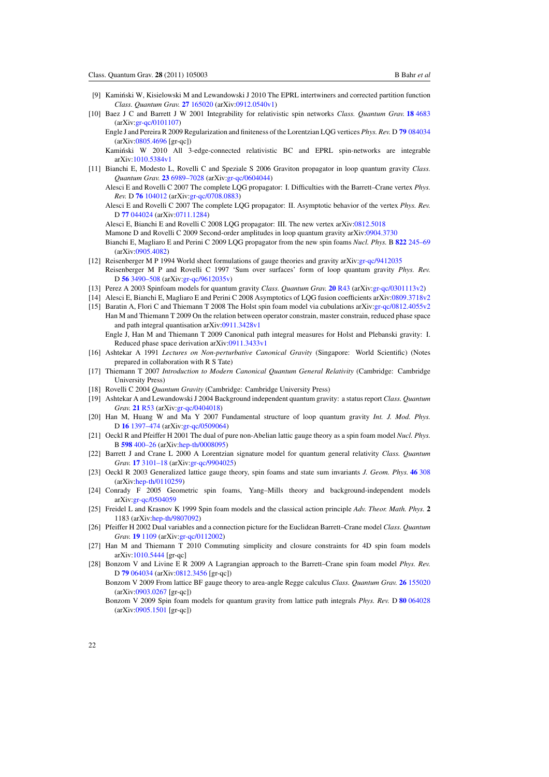- <span id="page-22-0"></span>[9] Kaminski W, Kisielowski M and Lewandowski J 2010 The EPRL intertwiners and corrected partition function ´ *Class. Quantum Grav.* **27** [165020](http://dx.doi.org/10.1088/0264-9381/27/16/165020) (arXiv[:0912.0540v1\)](http://www.arxiv.org/abs/0912.0540v1)
- [10] Baez J C and Barrett J W 2001 Integrability for relativistic spin networks *Class. Quantum Grav.* **18** [4683](http://dx.doi.org/10.1088/0264-9381/18/21/316) (arXiv[:gr-qc/0101107\)](http://www.arxiv.org/abs/gr-qc/0101107)

Engle J and Pereira R 2009 Regularization and finiteness of the Lorentzian LQG vertices *Phys. Rev.* D **79** [084034](http://dx.doi.org/10.1103/PhysRevD.79.084034) (arXiv[:0805.4696](http://www.arxiv.org/abs/0805.4696) [gr-qc])

Kamiński W 2010 All 3-edge-connected relativistic BC and EPRL spin-networks are integrable arXiv[:1010.5384v1](http://www.arxiv.org/abs/1010.5384v1)

- [11] Bianchi E, Modesto L, Rovelli C and Speziale S 2006 Graviton propagator in loop quantum gravity *Class. Quantum Grav.* **23** [6989–7028](http://dx.doi.org/10.1088/0264-9381/23/23/024) (arXiv[:gr-qc/0604044\)](http://www.arxiv.org/abs/gr-qc/0604044)
	- Alesci E and Rovelli C 2007 The complete LQG propagator: I. Difficulties with the Barrett–Crane vertex *Phys. Rev.* D **76** [104012](http://dx.doi.org/10.1103/PhysRevD.76.104012) (arXiv[:gr-qc/0708.0883\)](http://www.arxiv.org/abs/gr-qc/0708)

Alesci E and Rovelli C 2007 The complete LQG propagator: II. Asymptotic behavior of the vertex *Phys. Rev.* D **77** [044024](http://dx.doi.org/10.1103/PhysRevD.77.044024) (arXiv[:0711.1284\)](http://www.arxiv.org/abs/0711.1284)

Alesci E, Bianchi E and Rovelli C 2008 LQG propagator: III. The new vertex arXiv[:0812.5018](http://www.arxiv.org/abs/0812.5018)

Mamone D and Rovelli C 2009 Second-order amplitudes in loop quantum gravity arXiv[:0904.3730](http://www.arxiv.org/abs/0904.3730)

Bianchi E, Magliaro E and Perini C 2009 LQG propagator from the new spin foams *Nucl. Phys.* B **822** [245–69](http://dx.doi.org/10.1016/j.nuclphysb.2009.07.016) (arXiv[:0905.4082\)](http://www.arxiv.org/abs/0905.4082)

- [12] Reisenberger M P 1994 World sheet formulations of gauge theories and gravity arXiv[:gr-qc/9412035](http://www.arxiv.org/abs/gr-qc/9412035) Reisenberger M P and Rovelli C 1997 'Sum over surfaces' form of loop quantum gravity *Phys. Rev.* D **56** [3490–508](http://dx.doi.org/10.1103/PhysRevD.56.3490) (arXiv[:gr-qc/9612035v\)](http://www.arxiv.org/abs/gr-qc/9612035v)
- [13] Perez A 2003 Spinfoam models for quantum gravity *Class. Quantum Grav.* **20** [R43](http://dx.doi.org/10.1088/0264-9381/20/6/202) (arXiv[:gr-qc/0301113v2\)](http://www.arxiv.org/abs/gr-qc/0301113v2)
- [14] Alesci E, Bianchi E, Magliaro E and Perini C 2008 Asymptotics of LQG fusion coefficients arXiv[:0809.3718v2](http://www.arxiv.org/abs/0809.3718v2)
- [15] Baratin A, Flori C and Thiemann T 2008 The Holst spin foam model via cubulations arXiv[:gr-qc/0812.4055v2](http://www.arxiv.org/abs/gr-qc/0812) Han M and Thiemann T 2009 On the relation between operator constrain, master constrain, reduced phase space and path integral quantisation arXiv[:0911.3428v1](http://www.arxiv.org/abs/0911.3428v1)

Engle J, Han M and Thiemann T 2009 Canonical path integral measures for Holst and Plebanski gravity: I. Reduced phase space derivation arXiv[:0911.3433v1](http://www.arxiv.org/abs/0911.3433v1)

- [16] Ashtekar A 1991 *Lectures on Non-perturbative Canonical Gravity* (Singapore: World Scientific) (Notes prepared in collaboration with R S Tate)
- [17] Thiemann T 2007 *Introduction to Modern Canonical Quantum General Relativity* (Cambridge: Cambridge University Press)
- [18] Rovelli C 2004 *Quantum Gravity* (Cambridge: Cambridge University Press)
- [19] Ashtekar A and Lewandowski J 2004 Background independent quantum gravity: a status report *Class. Quantum Grav.* **21** [R53](http://dx.doi.org/10.1088/0264-9381/21/15/R01) (arXiv[:gr-qc/0404018\)](http://www.arxiv.org/abs/gr-qc/0404018)
- [20] Han M, Huang W and Ma Y 2007 Fundamental structure of loop quantum gravity *Int. J. Mod. Phys.* D **16** [1397–474](http://dx.doi.org/10.1142/S0218271807010894) (arXiv[:gr-qc/0509064\)](http://www.arxiv.org/abs/gr-qc/0509064)
- [21] Oeckl R and Pfeiffer H 2001 The dual of pure non-Abelian lattic gauge theory as a spin foam model *Nucl. Phys.* B **598** [400–26](http://dx.doi.org/10.1016/S0550-3213(00)00770-7) (arXiv[:hep-th/0008095\)](http://www.arxiv.org/abs/hep-th/0008095)
- [22] Barrett J and Crane L 2000 A Lorentzian signature model for quantum general relativity *Class. Quantum Grav.* **17** [3101–18](http://dx.doi.org/10.1088/0264-9381/17/16/302) (arXiv[:gr-qc/9904025\)](http://www.arxiv.org/abs/gr-qc/9904025)
- [23] Oeckl R 2003 Generalized lattice gauge theory, spin foams and state sum invariants *J. Geom. Phys.* **46** [308](http://dx.doi.org/10.1016/S0393-0440(02)00148-1) (arXiv[:hep-th/0110259\)](http://www.arxiv.org/abs/hep-th/0110259)
- [24] Conrady F 2005 Geometric spin foams, Yang–Mills theory and background-independent models arXiv[:gr-qc/0504059](http://www.arxiv.org/abs/gr-qc/0504059)
- [25] Freidel L and Krasnov K 1999 Spin foam models and the classical action principle *Adv. Theor. Math. Phys.* **2** 1183 (arXiv[:hep-th/9807092\)](http://www.arxiv.org/abs/hep-th/9807092)
- [26] Pfeiffer H 2002 Dual variables and a connection picture for the Euclidean Barrett–Crane model *Class. Quantum Grav.* **19** [1109](http://dx.doi.org/10.1088/0264-9381/19/6/306) (arXiv[:gr-qc/0112002\)](http://www.arxiv.org/abs/gr-qc/0112002)
- [27] Han M and Thiemann T 2010 Commuting simplicity and closure constraints for 4D spin foam models arXiv[:1010.5444](http://www.arxiv.org/abs/1010.5444) [gr-qc]
- [28] Bonzom V and Livine E R 2009 A Lagrangian approach to the Barrett–Crane spin foam model *Phys. Rev.* D **79** [064034](http://dx.doi.org/10.1103/PhysRevD.79.064034) (arXiv[:0812.3456](http://www.arxiv.org/abs/0812.3456) [gr-qc])
	- Bonzom V 2009 From lattice BF gauge theory to area-angle Regge calculus *Class. Quantum Grav.* **26** [155020](http://dx.doi.org/10.1088/0264-9381/26/15/155020) (arXiv[:0903.0267](http://www.arxiv.org/abs/0903.0267) [gr-qc])
	- Bonzom V 2009 Spin foam models for quantum gravity from lattice path integrals *Phys. Rev.* D **80** [064028](http://dx.doi.org/10.1103/PhysRevD.80.064028) (arXiv[:0905.1501](http://www.arxiv.org/abs/0905.1501) [gr-qc])